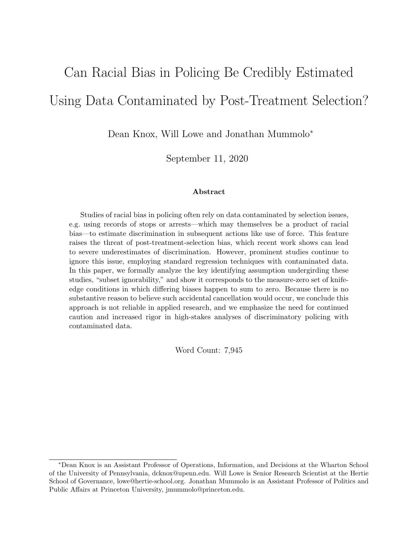# Can Racial Bias in Policing Be Credibly Estimated Using Data Contaminated by Post-Treatment Selection?

Dean Knox, Will Lowe and Jonathan Mummolo<sup>∗</sup>

September 11, 2020

#### Abstract

Studies of racial bias in policing often rely on data contaminated by selection issues, e.g. using records of stops or arrests—which may themselves be a product of racial bias—to estimate discrimination in subsequent actions like use of force. This feature raises the threat of post-treatment-selection bias, which recent work shows can lead to severe underestimates of discrimination. However, prominent studies continue to ignore this issue, employing standard regression techniques with contaminated data. In this paper, we formally analyze the key identifying assumption undergirding these studies, "subset ignorability," and show it corresponds to the measure-zero set of knifeedge conditions in which differing biases happen to sum to zero. Because there is no substantive reason to believe such accidental cancellation would occur, we conclude this approach is not reliable in applied research, and we emphasize the need for continued caution and increased rigor in high-stakes analyses of discriminatory policing with contaminated data.

Word Count: 7,945

<sup>∗</sup>Dean Knox is an Assistant Professor of Operations, Information, and Decisions at the Wharton School of the University of Pennsylvania, dcknox@upenn.edu. Will Lowe is Senior Research Scientist at the Hertie School of Governance, lowe@hertie-school.org. Jonathan Mummolo is an Assistant Professor of Politics and Public Affairs at Princeton University, jmummolo@princeton.edu.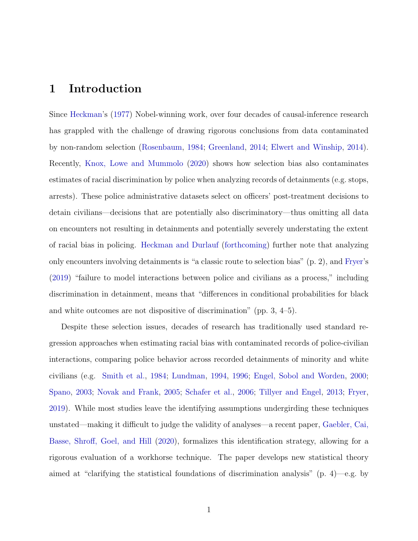### 1 Introduction

Since [Heckman'](#page-27-0)s [\(1977\)](#page-27-0) Nobel-winning work, over four decades of causal-inference research has grappled with the challenge of drawing rigorous conclusions from data contaminated by non-random selection [\(Rosenbaum,](#page-29-0) [1984;](#page-29-0) [Greenland,](#page-27-1) [2014;](#page-27-1) [Elwert and Winship,](#page-26-0) [2014\)](#page-26-0). Recently, [Knox, Lowe and Mummolo](#page-28-0) [\(2020\)](#page-28-0) shows how selection bias also contaminates estimates of racial discrimination by police when analyzing records of detainments (e.g. stops, arrests). These police administrative datasets select on officers' post-treatment decisions to detain civilians—decisions that are potentially also discriminatory—thus omitting all data on encounters not resulting in detainments and potentially severely understating the extent of racial bias in policing. [Heckman and Durlauf](#page-28-1) [\(forthcoming\)](#page-28-1) further note that analyzing only encounters involving detainments is "a classic route to selection bias" (p. 2), and [Fryer'](#page-27-2)s [\(2019\)](#page-27-2) "failure to model interactions between police and civilians as a process," including discrimination in detainment, means that "differences in conditional probabilities for black and white outcomes are not dispositive of discrimination" (pp. 3, 4–5).

Despite these selection issues, decades of research has traditionally used standard regression approaches when estimating racial bias with contaminated records of police-civilian interactions, comparing police behavior across recorded detainments of minority and white civilians (e.g. [Smith et al.,](#page-29-1) [1984;](#page-29-1) [Lundman,](#page-28-2) [1994,](#page-28-2) [1996;](#page-28-3) [Engel, Sobol and Worden,](#page-26-1) [2000;](#page-26-1) [Spano,](#page-29-2) [2003;](#page-29-2) [Novak and Frank,](#page-28-4) [2005;](#page-28-4) [Schafer et al.,](#page-29-3) [2006;](#page-29-3) [Tillyer and Engel,](#page-29-4) [2013;](#page-29-4) [Fryer,](#page-27-2) [2019\)](#page-27-2). While most studies leave the identifying assumptions undergirding these techniques unstated—making it difficult to judge the validity of analyses—a recent paper, [Gaebler, Cai,](#page-27-3) [Basse, Shroff, Goel, and Hill](#page-27-3) [\(2020\)](#page-27-3), formalizes this identification strategy, allowing for a rigorous evaluation of a workhorse technique. The paper develops new statistical theory aimed at "clarifying the statistical foundations of discrimination analysis" (p. 4)—e.g. by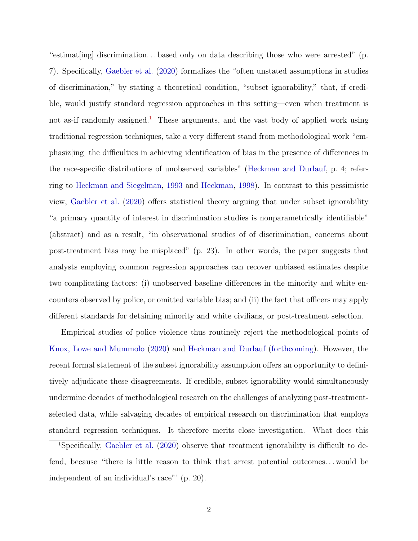"estimat[ing] discrimination. . . based only on data describing those who were arrested" (p. 7). Specifically, [Gaebler et al.](#page-27-3) [\(2020\)](#page-27-3) formalizes the "often unstated assumptions in studies of discrimination," by stating a theoretical condition, "subset ignorability," that, if credible, would justify standard regression approaches in this setting—even when treatment is not as-if randomly assigned.<sup>[1](#page-2-0)</sup> These arguments, and the vast body of applied work using traditional regression techniques, take a very different stand from methodological work "emphasiz[ing] the difficulties in achieving identification of bias in the presence of differences in the race-specific distributions of unobserved variables" [\(Heckman and Durlauf,](#page-28-1) p. 4; referring to [Heckman and Siegelman,](#page-27-4) [1993](#page-27-4) and [Heckman,](#page-27-5) [1998\)](#page-27-5). In contrast to this pessimistic view, [Gaebler et al.](#page-27-3) [\(2020\)](#page-27-3) offers statistical theory arguing that under subset ignorability "a primary quantity of interest in discrimination studies is nonparametrically identifiable" (abstract) and as a result, "in observational studies of of discrimination, concerns about post-treatment bias may be misplaced" (p. 23). In other words, the paper suggests that analysts employing common regression approaches can recover unbiased estimates despite two complicating factors: (i) unobserved baseline differences in the minority and white encounters observed by police, or omitted variable bias; and (ii) the fact that officers may apply different standards for detaining minority and white civilians, or post-treatment selection.

Empirical studies of police violence thus routinely reject the methodological points of [Knox, Lowe and Mummolo](#page-28-0) [\(2020\)](#page-28-0) and [Heckman and Durlauf](#page-28-1) [\(forthcoming\)](#page-28-1). However, the recent formal statement of the subset ignorability assumption offers an opportunity to definitively adjudicate these disagreements. If credible, subset ignorability would simultaneously undermine decades of methodological research on the challenges of analyzing post-treatmentselected data, while salvaging decades of empirical research on discrimination that employs standard regression techniques. It therefore merits close investigation. What does this

<span id="page-2-0"></span><sup>1</sup>Specifically, [Gaebler et al.](#page-27-3) [\(2020\)](#page-27-3) observe that treatment ignorability is difficult to defend, because "there is little reason to think that arrest potential outcomes. . . would be independent of an individual's race"' (p. 20).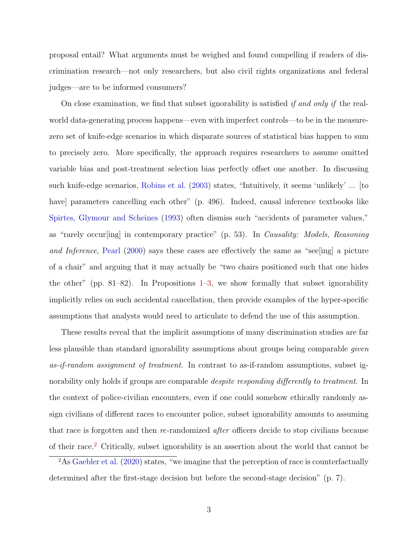proposal entail? What arguments must be weighed and found compelling if readers of discrimination research—not only researchers, but also civil rights organizations and federal judges—are to be informed consumers?

On close examination, we find that subset ignorability is satisfied if and only if the realworld data-generating process happens—even with imperfect controls—to be in the measurezero set of knife-edge scenarios in which disparate sources of statistical bias happen to sum to precisely zero. More specifically, the approach requires researchers to assume omitted variable bias and post-treatment selection bias perfectly offset one another. In discussing such knife-edge scenarios, [Robins et al.](#page-29-5) [\(2003\)](#page-29-5) states, "Intuitively, it seems 'unlikely' ... [to have] parameters cancelling each other" (p. 496). Indeed, causal inference textbooks like [Spirtes, Glymour and Scheines](#page-29-6) [\(1993\)](#page-29-6) often dismiss such "accidents of parameter values," as "rarely occurling in contemporary practice" (p. 53). In *Causality: Models, Reasoning* and Inference, [Pearl](#page-29-7) [\(2000\)](#page-29-7) says these cases are effectively the same as "see[ing] a picture of a chair" and arguing that it may actually be "two chairs positioned such that one hides the other" (pp.  $81-82$ ). In Propositions  $1-3$ , we show formally that subset ignorability implicitly relies on such accidental cancellation, then provide examples of the hyper-specific assumptions that analysts would need to articulate to defend the use of this assumption.

These results reveal that the implicit assumptions of many discrimination studies are far less plausible than standard ignorability assumptions about groups being comparable given as-if-random assignment of treatment. In contrast to as-if-random assumptions, subset ignorability only holds if groups are comparable *despite responding differently to treatment*. In the context of police-civilian encounters, even if one could somehow ethically randomly assign civilians of different races to encounter police, subset ignorability amounts to assuming that race is forgotten and then re-randomized after officers decide to stop civilians because of their race.[2](#page-3-0) Critically, subset ignorability is an assertion about the world that cannot be

<span id="page-3-0"></span> $2\text{As}$  [Gaebler et al.](#page-27-3) [\(2020\)](#page-27-3) states, "we imagine that the perception of race is counterfactually determined after the first-stage decision but before the second-stage decision" (p. 7).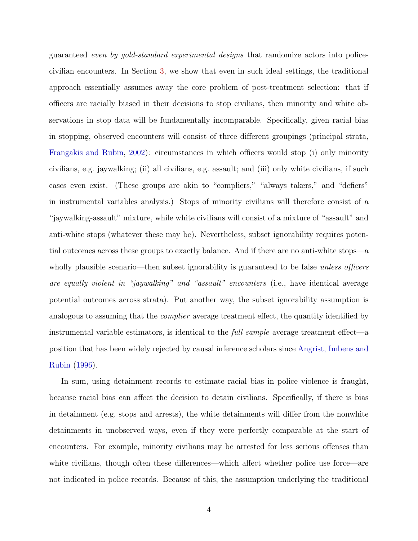guaranteed even by gold-standard experimental designs that randomize actors into policecivilian encounters. In Section [3,](#page-11-0) we show that even in such ideal settings, the traditional approach essentially assumes away the core problem of post-treatment selection: that if officers are racially biased in their decisions to stop civilians, then minority and white observations in stop data will be fundamentally incomparable. Specifically, given racial bias in stopping, observed encounters will consist of three different groupings (principal strata, [Frangakis and Rubin,](#page-27-6) [2002\)](#page-27-6): circumstances in which officers would stop (i) only minority civilians, e.g. jaywalking; (ii) all civilians, e.g. assault; and (iii) only white civilians, if such cases even exist. (These groups are akin to "compliers," "always takers," and "defiers" in instrumental variables analysis.) Stops of minority civilians will therefore consist of a "jaywalking-assault" mixture, while white civilians will consist of a mixture of "assault" and anti-white stops (whatever these may be). Nevertheless, subset ignorability requires potential outcomes across these groups to exactly balance. And if there are no anti-white stops—a wholly plausible scenario—then subset ignorability is guaranteed to be false *unless officers* are equally violent in "jaywalking" and "assault" encounters (i.e., have identical average potential outcomes across strata). Put another way, the subset ignorability assumption is analogous to assuming that the *complier* average treatment effect, the quantity identified by instrumental variable estimators, is identical to the *full sample* average treatment effect—a position that has been widely rejected by causal inference scholars since [Angrist, Imbens and](#page-26-2) [Rubin](#page-26-2) [\(1996\)](#page-26-2).

In sum, using detainment records to estimate racial bias in police violence is fraught, because racial bias can affect the decision to detain civilians. Specifically, if there is bias in detainment (e.g. stops and arrests), the white detainments will differ from the nonwhite detainments in unobserved ways, even if they were perfectly comparable at the start of encounters. For example, minority civilians may be arrested for less serious offenses than white civilians, though often these differences—which affect whether police use force—are not indicated in police records. Because of this, the assumption underlying the traditional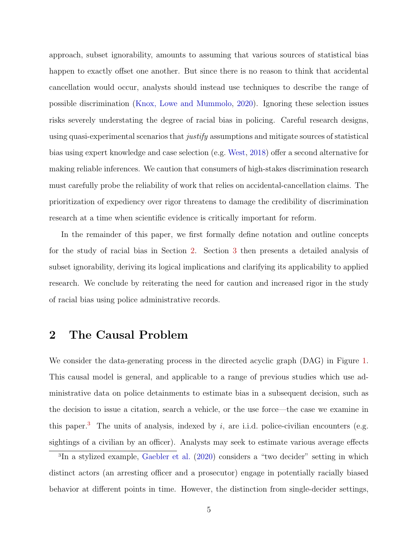approach, subset ignorability, amounts to assuming that various sources of statistical bias happen to exactly offset one another. But since there is no reason to think that accidental cancellation would occur, analysts should instead use techniques to describe the range of possible discrimination [\(Knox, Lowe and Mummolo,](#page-28-0) [2020\)](#page-28-0). Ignoring these selection issues risks severely understating the degree of racial bias in policing. Careful research designs, using quasi-experimental scenarios that *justify* assumptions and mitigate sources of statistical bias using expert knowledge and case selection (e.g. [West,](#page-30-0) [2018\)](#page-30-0) offer a second alternative for making reliable inferences. We caution that consumers of high-stakes discrimination research must carefully probe the reliability of work that relies on accidental-cancellation claims. The prioritization of expediency over rigor threatens to damage the credibility of discrimination research at a time when scientific evidence is critically important for reform.

In the remainder of this paper, we first formally define notation and outline concepts for the study of racial bias in Section [2.](#page-5-0) Section [3](#page-11-0) then presents a detailed analysis of subset ignorability, deriving its logical implications and clarifying its applicability to applied research. We conclude by reiterating the need for caution and increased rigor in the study of racial bias using police administrative records.

### <span id="page-5-0"></span>2 The Causal Problem

We consider the data-generating process in the directed acyclic graph (DAG) in Figure [1.](#page-7-0) This causal model is general, and applicable to a range of previous studies which use administrative data on police detainments to estimate bias in a subsequent decision, such as the decision to issue a citation, search a vehicle, or the use force—the case we examine in this paper.<sup>[3](#page-5-1)</sup> The units of analysis, indexed by i, are i.i.d. police-civilian encounters (e.g. sightings of a civilian by an officer). Analysts may seek to estimate various average effects

<span id="page-5-1"></span><sup>3</sup> In a stylized example, [Gaebler et al.](#page-27-3) [\(2020\)](#page-27-3) considers a "two decider" setting in which distinct actors (an arresting officer and a prosecutor) engage in potentially racially biased behavior at different points in time. However, the distinction from single-decider settings,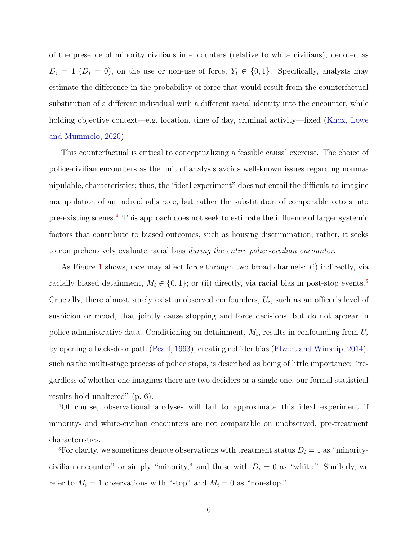of the presence of minority civilians in encounters (relative to white civilians), denoted as  $D_i = 1$  ( $D_i = 0$ ), on the use or non-use of force,  $Y_i \in \{0, 1\}$ . Specifically, analysts may estimate the difference in the probability of force that would result from the counterfactual substitution of a different individual with a different racial identity into the encounter, while holding objective context—e.g. location, time of day, criminal activity—fixed [\(Knox, Lowe](#page-28-0) [and Mummolo,](#page-28-0) [2020\)](#page-28-0).

This counterfactual is critical to conceptualizing a feasible causal exercise. The choice of police-civilian encounters as the unit of analysis avoids well-known issues regarding nonmanipulable, characteristics; thus, the "ideal experiment" does not entail the difficult-to-imagine manipulation of an individual's race, but rather the substitution of comparable actors into pre-existing scenes.[4](#page-6-0) This approach does not seek to estimate the influence of larger systemic factors that contribute to biased outcomes, such as housing discrimination; rather, it seeks to comprehensively evaluate racial bias during the entire police-civilian encounter.

As Figure [1](#page-7-0) shows, race may affect force through two broad channels: (i) indirectly, via racially biased detainment,  $M_i \in \{0, 1\}$ ; or (ii) directly, via racial bias in post-stop events.<sup>[5](#page-6-1)</sup> Crucially, there almost surely exist unobserved confounders,  $U_i$ , such as an officer's level of suspicion or mood, that jointly cause stopping and force decisions, but do not appear in police administrative data. Conditioning on detainment,  $M_i$ , results in confounding from  $U_i$ by opening a back-door path [\(Pearl,](#page-28-5) [1993\)](#page-28-5), creating collider bias [\(Elwert and Winship,](#page-26-0) [2014\)](#page-26-0). such as the multi-stage process of police stops, is described as being of little importance: "regardless of whether one imagines there are two deciders or a single one, our formal statistical results hold unaltered" (p. 6).

<span id="page-6-0"></span><sup>4</sup>Of course, observational analyses will fail to approximate this ideal experiment if minority- and white-civilian encounters are not comparable on unobserved, pre-treatment characteristics.

<span id="page-6-1"></span><sup>5</sup>For clarity, we sometimes denote observations with treatment status  $D_i = 1$  as "minoritycivilian encounter" or simply "minority," and those with  $D_i = 0$  as "white." Similarly, we refer to  $M_i = 1$  observations with "stop" and  $M_i = 0$  as "non-stop."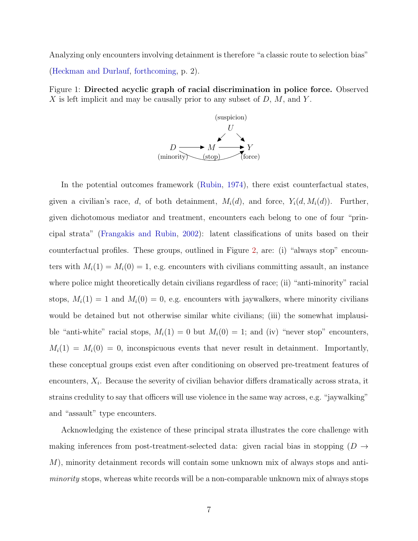Analyzing only encounters involving detainment is therefore "a classic route to selection bias" [\(Heckman and Durlauf,](#page-28-1) [forthcoming,](#page-28-1) p. 2).

<span id="page-7-0"></span>Figure 1: Directed acyclic graph of racial discrimination in police force. Observed X is left implicit and may be causally prior to any subset of  $D, M$ , and Y.



In the potential outcomes framework [\(Rubin,](#page-29-8) [1974\)](#page-29-8), there exist counterfactual states, given a civilian's race, d, of both detainment,  $M_i(d)$ , and force,  $Y_i(d, M_i(d))$ . Further, given dichotomous mediator and treatment, encounters each belong to one of four "principal strata" [\(Frangakis and Rubin,](#page-27-6) [2002\)](#page-27-6): latent classifications of units based on their counterfactual profiles. These groups, outlined in Figure [2,](#page-8-0) are: (i) "always stop" encounters with  $M_i(1) = M_i(0) = 1$ , e.g. encounters with civilians committing assault, an instance where police might theoretically detain civilians regardless of race; (ii) "anti-minority" racial stops,  $M_i(1) = 1$  and  $M_i(0) = 0$ , e.g. encounters with jaywalkers, where minority civilians would be detained but not otherwise similar white civilians; (iii) the somewhat implausible "anti-white" racial stops,  $M_i(1) = 0$  but  $M_i(0) = 1$ ; and (iv) "never stop" encounters,  $M_i(1) = M_i(0) = 0$ , inconspicuous events that never result in detainment. Importantly, these conceptual groups exist even after conditioning on observed pre-treatment features of encounters,  $X_i$ . Because the severity of civilian behavior differs dramatically across strata, it strains credulity to say that officers will use violence in the same way across, e.g. "jaywalking" and "assault" type encounters.

Acknowledging the existence of these principal strata illustrates the core challenge with making inferences from post-treatment-selected data: given racial bias in stopping  $(D \rightarrow$ M), minority detainment records will contain some unknown mix of always stops and antiminority stops, whereas white records will be a non-comparable unknown mix of always stops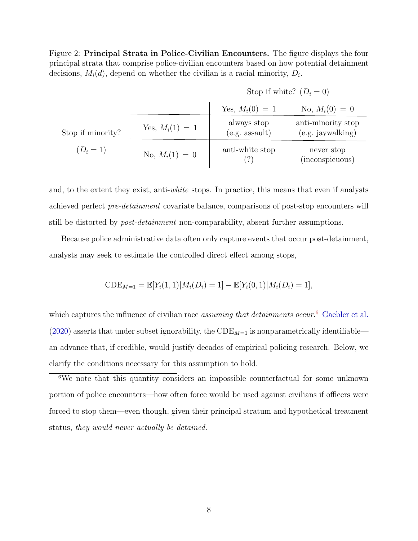Figure 2: Principal Strata in Police-Civilian Encounters. The figure displays the four principal strata that comprise police-civilian encounters based on how potential detainment decisions,  $M_i(d)$ , depend on whether the civilian is a racial minority,  $D_i$ .

|  |  | Stop if white? $(D_i = 0)$ |
|--|--|----------------------------|
|--|--|----------------------------|

<span id="page-8-0"></span>

|                   |                   | Yes, $M_i(0) = 1$               | No, $M_i(0) = 0$                        |
|-------------------|-------------------|---------------------------------|-----------------------------------------|
| Stop if minority? | Yes, $M_i(1) = 1$ | always stop<br>$(e.g.$ assault) | anti-minority stop<br>(e.g. jaywalking) |
| $(D_i = 1)$       | No, $M_i(1) = 0$  | anti-white stop                 | never stop<br>(inconspicuous)           |

and, to the extent they exist, anti-white stops. In practice, this means that even if analysts achieved perfect pre-detainment covariate balance, comparisons of post-stop encounters will still be distorted by post-detainment non-comparability, absent further assumptions.

Because police administrative data often only capture events that occur post-detainment, analysts may seek to estimate the controlled direct effect among stops,

$$
CDE_{M=1} = \mathbb{E}[Y_i(1,1)|M_i(D_i) = 1] - \mathbb{E}[Y_i(0,1)|M_i(D_i) = 1],
$$

which captures the influence of civilian race *assuming that detainments occur*.<sup>[6](#page-8-1)</sup> [Gaebler et al.](#page-27-3) [\(2020\)](#page-27-3) asserts that under subset ignorability, the  $\text{CDE}_{M=1}$  is nonparametrically identifiable an advance that, if credible, would justify decades of empirical policing research. Below, we clarify the conditions necessary for this assumption to hold.

<span id="page-8-1"></span><sup>6</sup>We note that this quantity considers an impossible counterfactual for some unknown portion of police encounters—how often force would be used against civilians if officers were forced to stop them—even though, given their principal stratum and hypothetical treatment status, they would never actually be detained.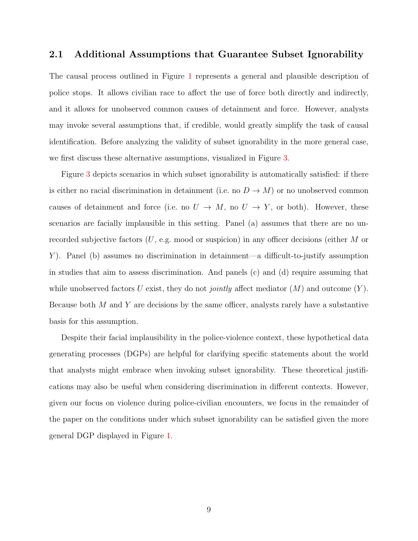#### 2.1 Additional Assumptions that Guarantee Subset Ignorability

The causal process outlined in Figure [1](#page-7-0) represents a general and plausible description of police stops. It allows civilian race to affect the use of force both directly and indirectly, and it allows for unobserved common causes of detainment and force. However, analysts may invoke several assumptions that, if credible, would greatly simplify the task of causal identification. Before analyzing the validity of subset ignorability in the more general case, we first discuss these alternative assumptions, visualized in Figure [3.](#page-10-0)

Figure [3](#page-10-0) depicts scenarios in which subset ignorability is automatically satisfied: if there is either no racial discrimination in detainment (i.e. no  $D \to M$ ) or no unobserved common causes of detainment and force (i.e. no  $U \rightarrow M$ , no  $U \rightarrow Y$ , or both). However, these scenarios are facially implausible in this setting. Panel (a) assumes that there are no unrecorded subjective factors  $(U, e.g. \text{ mood or suspicion})$  in any officer decisions (either M or Y). Panel (b) assumes no discrimination in detainment—a difficult-to-justify assumption in studies that aim to assess discrimination. And panels (c) and (d) require assuming that while unobserved factors U exist, they do not *jointly* affect mediator  $(M)$  and outcome  $(Y)$ . Because both  $M$  and  $Y$  are decisions by the same officer, analysts rarely have a substantive basis for this assumption.

Despite their facial implausibility in the police-violence context, these hypothetical data generating processes (DGPs) are helpful for clarifying specific statements about the world that analysts might embrace when invoking subset ignorability. These theoretical justifications may also be useful when considering discrimination in different contexts. However, given our focus on violence during police-civilian encounters, we focus in the remainder of the paper on the conditions under which subset ignorability can be satisfied given the more general DGP displayed in Figure [1.](#page-7-0)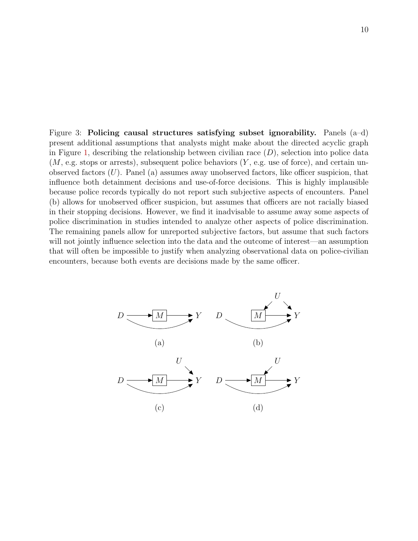Figure 3: Policing causal structures satisfying subset ignorability. Panels  $(a-d)$ present additional assumptions that analysts might make about the directed acyclic graph in Figure [1,](#page-7-0) describing the relationship between civilian race  $(D)$ , selection into police data  $(M, e.g. stops or arrests), subsequent police behaviors (Y, e.g. use of force), and certain un$ observed factors  $(U)$ . Panel (a) assumes away unobserved factors, like officer suspicion, that influence both detainment decisions and use-of-force decisions. This is highly implausible because police records typically do not report such subjective aspects of encounters. Panel (b) allows for unobserved officer suspicion, but assumes that officers are not racially biased in their stopping decisions. However, we find it inadvisable to assume away some aspects of police discrimination in studies intended to analyze other aspects of police discrimination. The remaining panels allow for unreported subjective factors, but assume that such factors will not jointly influence selection into the data and the outcome of interest—an assumption that will often be impossible to justify when analyzing observational data on police-civilian encounters, because both events are decisions made by the same officer.

<span id="page-10-0"></span>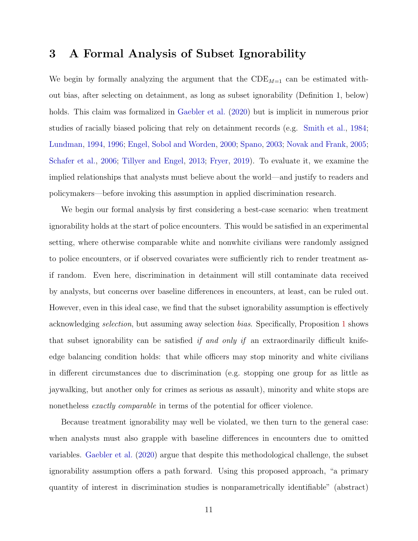#### <span id="page-11-0"></span>3 A Formal Analysis of Subset Ignorability

We begin by formally analyzing the argument that the  $CDE_{M=1}$  can be estimated without bias, after selecting on detainment, as long as subset ignorability (Definition 1, below) holds. This claim was formalized in [Gaebler et al.](#page-27-3) [\(2020\)](#page-27-3) but is implicit in numerous prior studies of racially biased policing that rely on detainment records (e.g. [Smith et al.,](#page-29-1) [1984;](#page-29-1) [Lundman,](#page-28-2) [1994,](#page-28-2) [1996;](#page-28-3) [Engel, Sobol and Worden,](#page-26-1) [2000;](#page-26-1) [Spano,](#page-29-2) [2003;](#page-29-2) [Novak and Frank,](#page-28-4) [2005;](#page-28-4) [Schafer et al.,](#page-29-3) [2006;](#page-29-3) [Tillyer and Engel,](#page-29-4) [2013;](#page-29-4) [Fryer,](#page-27-2) [2019\)](#page-27-2). To evaluate it, we examine the implied relationships that analysts must believe about the world—and justify to readers and policymakers—before invoking this assumption in applied discrimination research.

We begin our formal analysis by first considering a best-case scenario: when treatment ignorability holds at the start of police encounters. This would be satisfied in an experimental setting, where otherwise comparable white and nonwhite civilians were randomly assigned to police encounters, or if observed covariates were sufficiently rich to render treatment asif random. Even here, discrimination in detainment will still contaminate data received by analysts, but concerns over baseline differences in encounters, at least, can be ruled out. However, even in this ideal case, we find that the subset ignorability assumption is effectively acknowledging selection, but assuming away selection bias. Specifically, Proposition [1](#page-13-0) shows that subset ignorability can be satisfied if and only if an extraordinarily difficult knifeedge balancing condition holds: that while officers may stop minority and white civilians in different circumstances due to discrimination (e.g. stopping one group for as little as jaywalking, but another only for crimes as serious as assault), minority and white stops are nonetheless *exactly comparable* in terms of the potential for officer violence.

Because treatment ignorability may well be violated, we then turn to the general case: when analysts must also grapple with baseline differences in encounters due to omitted variables. [Gaebler et al.](#page-27-3) [\(2020\)](#page-27-3) argue that despite this methodological challenge, the subset ignorability assumption offers a path forward. Using this proposed approach, "a primary quantity of interest in discrimination studies is nonparametrically identifiable" (abstract)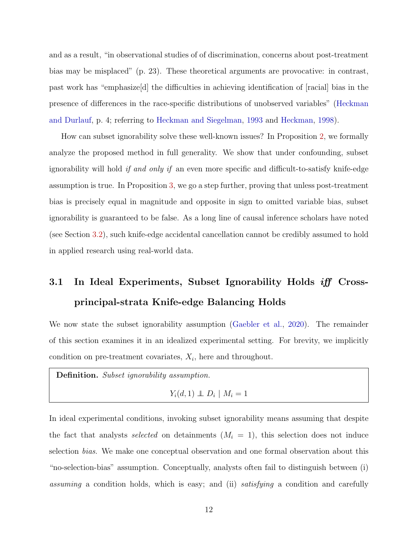and as a result, "in observational studies of of discrimination, concerns about post-treatment bias may be misplaced" (p. 23). These theoretical arguments are provocative: in contrast, past work has "emphasize[d] the difficulties in achieving identification of [racial] bias in the presence of differences in the race-specific distributions of unobserved variables" [\(Heckman](#page-28-1) [and Durlauf,](#page-28-1) p. 4; referring to [Heckman and Siegelman,](#page-27-4) [1993](#page-27-4) and [Heckman,](#page-27-5) [1998\)](#page-27-5).

How can subset ignorability solve these well-known issues? In Proposition [2,](#page-22-0) we formally analyze the proposed method in full generality. We show that under confounding, subset ignorability will hold *if and only if* an even more specific and difficult-to-satisfy knife-edge assumption is true. In Proposition [3,](#page-23-0) we go a step further, proving that unless post-treatment bias is precisely equal in magnitude and opposite in sign to omitted variable bias, subset ignorability is guaranteed to be false. As a long line of causal inference scholars have noted (see Section [3.2\)](#page-19-0), such knife-edge accidental cancellation cannot be credibly assumed to hold in applied research using real-world data.

# 3.1 In Ideal Experiments, Subset Ignorability Holds iff Crossprincipal-strata Knife-edge Balancing Holds

We now state the subset ignorability assumption [\(Gaebler et al.,](#page-27-3) [2020\)](#page-27-3). The remainder of this section examines it in an idealized experimental setting. For brevity, we implicitly condition on pre-treatment covariates,  $X_i$ , here and throughout.

Definition. Subset ignorability assumption.

 $Y_i(d,1) \perp D_i \mid M_i = 1$ 

In ideal experimental conditions, invoking subset ignorability means assuming that despite the fact that analysts selected on detainments  $(M<sub>i</sub> = 1)$ , this selection does not induce selection bias. We make one conceptual observation and one formal observation about this "no-selection-bias" assumption. Conceptually, analysts often fail to distinguish between (i) assuming a condition holds, which is easy; and (ii) satisfying a condition and carefully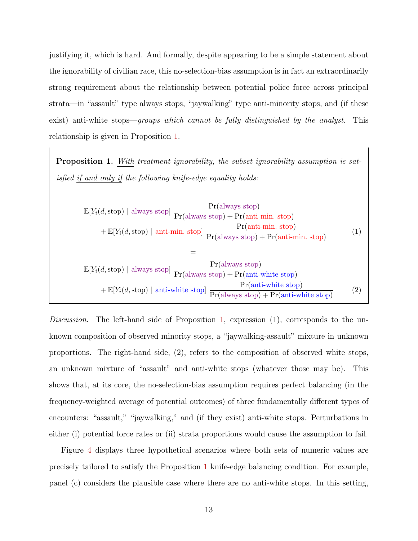justifying it, which is hard. And formally, despite appearing to be a simple statement about the ignorability of civilian race, this no-selection-bias assumption is in fact an extraordinarily strong requirement about the relationship between potential police force across principal strata—in "assault" type always stops, "jaywalking" type anti-minority stops, and (if these exist) anti-white stops—*groups which cannot be fully distinguished by the analyst*. This relationship is given in Proposition [1.](#page-13-0)

<span id="page-13-0"></span>Proposition 1. With treatment ignorability, the subset ignorability assumption is satisfied if and only if the following knife-edge equality holds:

$$
\mathbb{E}[Y_i(d, \text{stop}) \mid \text{always stop}] \frac{\Pr(\text{always stop})}{\Pr(\text{always stop}) + \Pr(\text{anti-min. stop})} + \mathbb{E}[Y_i(d, \text{stop}) \mid \text{anti-min. stop}] \frac{\Pr(\text{antis stop})}{\Pr(\text{always stop}) + \Pr(\text{anti-min. stop})} =
$$
\n
$$
\mathbb{E}[Y_i(d, \text{stop}) \mid \text{always stop}] \frac{\Pr(\text{always stop})}{\Pr(\text{always stop}) + \Pr(\text{anti-min. stop})} + \mathbb{E}[Y_i(d, \text{stop}) \mid \text{anti-white stop}) \frac{\Pr(\text{antis stop})}{\Pr(\text{always stop}) + \Pr(\text{anti-white stop})} \frac{\Pr(\text{anti-white stop})}{\Pr(\text{always stop}) + \Pr(\text{anti-white stop})} \tag{2}
$$

Discussion. The left-hand side of Proposition [1,](#page-13-0) expression  $(1)$ , corresponds to the unknown composition of observed minority stops, a "jaywalking-assault" mixture in unknown proportions. The right-hand side, (2), refers to the composition of observed white stops, an unknown mixture of "assault" and anti-white stops (whatever those may be). This shows that, at its core, the no-selection-bias assumption requires perfect balancing (in the frequency-weighted average of potential outcomes) of three fundamentally different types of encounters: "assault," "jaywalking," and (if they exist) anti-white stops. Perturbations in either (i) potential force rates or (ii) strata proportions would cause the assumption to fail.

Figure [4](#page-17-0) displays three hypothetical scenarios where both sets of numeric values are precisely tailored to satisfy the Proposition [1](#page-13-0) knife-edge balancing condition. For example, panel (c) considers the plausible case where there are no anti-white stops. In this setting,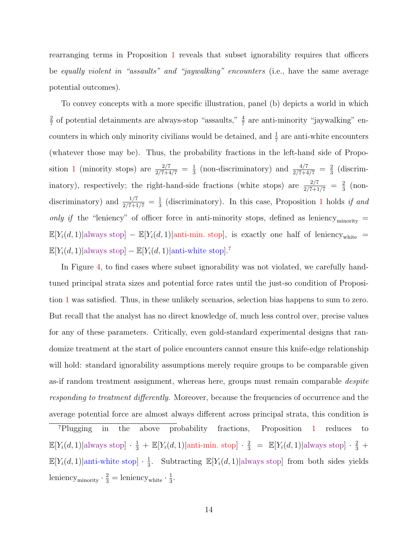rearranging terms in Proposition [1](#page-13-0) reveals that subset ignorability requires that officers be equally violent in "assaults" and "jaywalking" encounters (i.e., have the same average potential outcomes).

To convey concepts with a more specific illustration, panel (b) depicts a world in which 2  $\frac{2}{7}$  of potential detainments are always-stop "assaults,"  $\frac{4}{7}$  are anti-minority "jaywalking" encounters in which only minority civilians would be detained, and  $\frac{1}{7}$  are anti-white encounters (whatever those may be). Thus, the probability fractions in the left-hand side of Propo-sition [1](#page-13-0) (minority stops) are  $\frac{2/7}{2/7+4/7} = \frac{1}{3}$  $\frac{1}{3}$  (non-discriminatory) and  $\frac{4/7}{2/7+4/7} = \frac{2}{3}$  $rac{2}{3}$  (discriminatory), respectively; the right-hand-side fractions (white stops) are  $\frac{2/7}{2/7+1/7} = \frac{2}{3}$  $rac{2}{3}$  (nondiscriminatory) and  $\frac{1/7}{2/7+1/7} = \frac{1}{3}$  $\frac{1}{3}$  $\frac{1}{3}$  $\frac{1}{3}$  (discriminatory). In this case, Proposition 1 holds if and only if the "leniency" of officer force in anti-minority stops, defined as leniency $_{\rm minority}$  =  $\mathbb{E}[Y_i(d,1)]$ always stop] –  $\mathbb{E}[Y_i(d,1)]$ anti-min. stop], is exactly one half of leniency<sub>white</sub> =  $\mathbb{E}[Y_i(d, 1)|$ always stop] –  $\mathbb{E}[Y_i(d, 1)|$ anti-white stop].<sup>[7](#page-14-0)</sup>

In Figure [4,](#page-17-0) to find cases where subset ignorability was not violated, we carefully handtuned principal strata sizes and potential force rates until the just-so condition of Proposition [1](#page-13-0) was satisfied. Thus, in these unlikely scenarios, selection bias happens to sum to zero. But recall that the analyst has no direct knowledge of, much less control over, precise values for any of these parameters. Critically, even gold-standard experimental designs that randomize treatment at the start of police encounters cannot ensure this knife-edge relationship will hold: standard ignorability assumptions merely require groups to be comparable given as-if random treatment assignment, whereas here, groups must remain comparable despite responding to treatment differently. Moreover, because the frequencies of occurrence and the average potential force are almost always different across principal strata, this condition is

<span id="page-14-0"></span><sup>7</sup>Plugging in the above probability fractions, Proposition [1](#page-13-0) reduces to  $\mathbb{E}[Y_i(d,1)|$ always stop $]\cdot \frac{1}{3} + \mathbb{E}[Y_i(d,1)|$ anti-min. stop $]\cdot \frac{2}{3} = \mathbb{E}[Y_i(d,1)|$ always stop $]\cdot \frac{2}{3} +$  $\mathbb{E}[Y_i(d,1)]$ anti-white stop $] \cdot \frac{1}{3}$  $\frac{1}{3}$ . Subtracting  $\mathbb{E}[Y_i(d,1)]$  always stop] from both sides yields leniency<sub>minority</sub>  $\cdot \frac{2}{3}$  = leniency<sub>white</sub>  $\cdot \frac{1}{3}$  $\frac{1}{3}$ .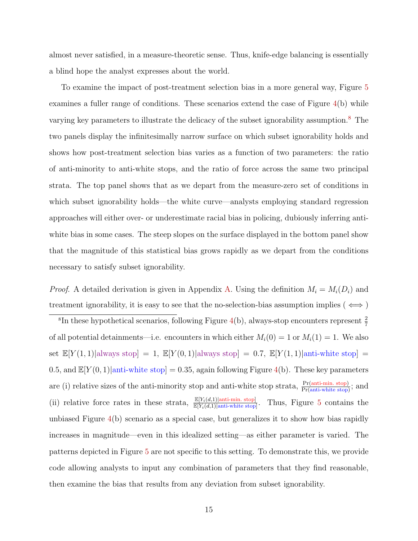almost never satisfied, in a measure-theoretic sense. Thus, knife-edge balancing is essentially a blind hope the analyst expresses about the world.

To examine the impact of post-treatment selection bias in a more general way, Figure [5](#page-18-0) examines a fuller range of conditions. These scenarios extend the case of Figure [4\(](#page-17-0)b) while varying key parameters to illustrate the delicacy of the subset ignorability assumption.<sup>[8](#page-15-0)</sup> The two panels display the infinitesimally narrow surface on which subset ignorability holds and shows how post-treatment selection bias varies as a function of two parameters: the ratio of anti-minority to anti-white stops, and the ratio of force across the same two principal strata. The top panel shows that as we depart from the measure-zero set of conditions in which subset ignorability holds—the white curve—analysts employing standard regression approaches will either over- or underestimate racial bias in policing, dubiously inferring antiwhite bias in some cases. The steep slopes on the surface displayed in the bottom panel show that the magnitude of this statistical bias grows rapidly as we depart from the conditions necessary to satisfy subset ignorability.

*Proof.* A detailed derivation is given in Appendix [A.](#page-32-0) Using the definition  $M_i = M_i(D_i)$  and treatment ignorability, it is easy to see that the no-selection-bias assumption implies ( $\iff$ )

<span id="page-15-0"></span><sup>8</sup>In these hypothetical scenarios, following Figure [4\(](#page-17-0)b), always-stop encounters represent  $\frac{2}{7}$ of all potential detainments—i.e. encounters in which either  $M_i(0) = 1$  or  $M_i(1) = 1$ . We also set  $\mathbb{E}[Y(1,1)]$ always stop] = 1,  $\mathbb{E}[Y(0,1)]$ always stop] = 0.7,  $\mathbb{E}[Y(1,1)]$ anti-white stop] = 0.5, and  $\mathbb{E}[Y(0,1)]$  anti-white stop] = 0.35, again following Figure [4\(](#page-17-0)b). These key parameters are (i) relative sizes of the anti-minority stop and anti-white stop strata,  $\frac{Pr(\text{anti-min. stop})}{Pr(\text{anti-white stop})}$ ; and (ii) relative force rates in these strata,  $\frac{\mathbb{E}[Y_i(d,1)]\text{anti-min. stop}}{\mathbb{E}[Y_i(d,1)]\text{anti-white stop}}$ . Thus, Figure [5](#page-18-0) contains the unbiased Figure [4\(](#page-17-0)b) scenario as a special case, but generalizes it to show how bias rapidly increases in magnitude—even in this idealized setting—as either parameter is varied. The patterns depicted in Figure [5](#page-18-0) are not specific to this setting. To demonstrate this, we provide code allowing analysts to input any combination of parameters that they find reasonable, then examine the bias that results from any deviation from subset ignorability.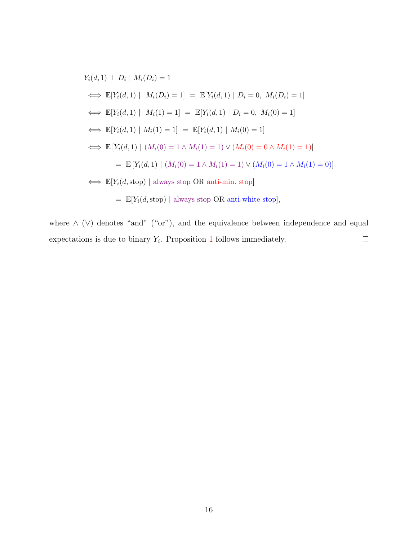$$
Y_i(d, 1) \perp D_i | M_i(D_i) = 1
$$
  
\n
$$
\iff \mathbb{E}[Y_i(d, 1) | M_i(D_i) = 1] = \mathbb{E}[Y_i(d, 1) | D_i = 0, M_i(D_i) = 1]
$$
  
\n
$$
\iff \mathbb{E}[Y_i(d, 1) | M_i(1) = 1] = \mathbb{E}[Y_i(d, 1) | D_i = 0, M_i(0) = 1]
$$
  
\n
$$
\iff \mathbb{E}[Y_i(d, 1) | M_i(1) = 1] = \mathbb{E}[Y_i(d, 1) | M_i(0) = 1]
$$
  
\n
$$
\iff \mathbb{E}[Y_i(d, 1) | (M_i(0) = 1 \land M_i(1) = 1) \lor (M_i(0) = 0 \land M_i(1) = 1)]
$$
  
\n
$$
= \mathbb{E}[Y_i(d, 1) | (M_i(0) = 1 \land M_i(1) = 1) \lor (M_i(0) = 1 \land M_i(1) = 0)]
$$
  
\n
$$
\iff \mathbb{E}[Y_i(d, \text{stop}) | \text{always stop OR anti-min. stop}]
$$
  
\n
$$
= \mathbb{E}[Y_i(d, \text{stop}) | \text{always stop OR anti-white stop}],
$$

where  $\wedge$  (∨) denotes "and" ("or"), and the equivalence between independence and equal  $\Box$ expectations is due to binary  $Y_i$ . Proposition [1](#page-13-0) follows immediately.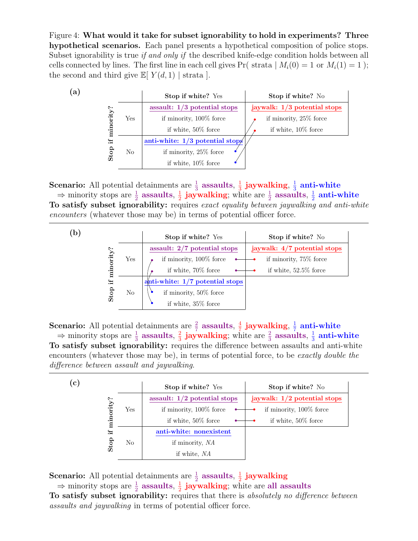Figure 4: What would it take for subset ignorability to hold in experiments? Three hypothetical scenarios. Each panel presents a hypothetical composition of police stops. Subset ignorability is true *if and only if* the described knife-edge condition holds between all cells connected by lines. The first line in each cell gives  $Pr($  strata  $| M_i(0) = 1$  or  $M_i(1) = 1$ ; the second and third give  $\mathbb{E}[Y(d,1)]$  strata.

<span id="page-17-0"></span>

**Scenario:** All potential detainments are  $\frac{1}{3}$  assaults,  $\frac{1}{3}$  $\frac{1}{3}$  jaywalking,  $\frac{1}{3}$  $\frac{1}{3}$  anti-white  $\Rightarrow$  minority stops are  $\frac{1}{2}$  assaults,  $\frac{1}{2}$  $\frac{1}{2}$  jaywalking; white are  $\frac{1}{2}$  assaults,  $\frac{1}{2}$  $\frac{1}{2}$  anti-white To satisfy subset ignorability: requires exact equality between jaywalking and anti-white encounters (whatever those may be) in terms of potential officer force.

| $\mathbf{b}$ |      |          | Stop if white? Yes<br>Stop if white? No                          |
|--------------|------|----------|------------------------------------------------------------------|
|              |      |          | assault: $2/7$ potential stops<br>jaywalk: $4/7$ potential stops |
|              |      | Yes      | if minority, 100% force<br>if minority, 75\% force               |
|              |      |          | if white, 70% force<br>if white, $52.5\%$ force                  |
|              |      |          | anti-white: $1/7$ potential stops                                |
|              | Stop | $\rm No$ | if minority, $50\%$ force                                        |
|              |      |          | if white, $35\%$ force                                           |

**Scenario:** All potential detainments are  $\frac{2}{7}$  assaults,  $\frac{4}{7}$  $\frac{4}{7}$  jaywalking,  $\frac{1}{7}$  $\frac{1}{7}$  anti-white  $\Rightarrow$  minority stops are  $\frac{1}{3}$  assaults,  $\frac{2}{3}$  $\frac{2}{3}$  jaywalking; white are  $\frac{2}{3}$  assaults,  $\frac{1}{3}$  $\frac{1}{3}$  anti-white To satisfy subset ignorability: requires the difference between assaults and anti-white encounters (whatever those may be), in terms of potential force, to be exactly double the difference between assault and jaywalking.

|           |     | Stop if white? Yes             | Stop if white? No              |
|-----------|-----|--------------------------------|--------------------------------|
|           |     | assault: $1/2$ potential stops | jaywalk: $1/2$ potential stops |
|           | Yes | if minority, $100\%$ force     | if minority, 100% force        |
| minority? |     | if white, $50\%$ force         | if white, $50\%$ force         |
| ∺         |     | anti-white: nonexistent        |                                |
| Stop      | No  | if minority, NA                |                                |
|           |     | if white, NA                   |                                |

**Scenario:** All potential detainments are  $\frac{1}{2}$  assaults,  $\frac{1}{2}$  $\frac{1}{2}$  jaywalking  $\Rightarrow$  minority stops are  $\frac{1}{2}$  assaults,  $\frac{1}{2}$  $\frac{1}{2}$  jaywalking; white are all assaults To satisfy subset ignorability: requires that there is absolutely no difference between assaults and jaywalking in terms of potential officer force.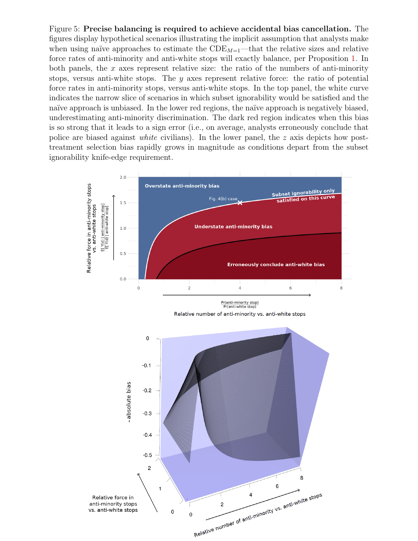Figure 5: Precise balancing is required to achieve accidental bias cancellation. The figures display hypothetical scenarios illustrating the implicit assumption that analysts make when using naïve approaches to estimate the  $CDE_{M=1}$ —that the relative sizes and relative force rates of anti-minority and anti-white stops will exactly balance, per Proposition [1.](#page-13-0) In both panels, the x axes represent relative size: the ratio of the numbers of anti-minority stops, versus anti-white stops. The  $y$  axes represent relative force: the ratio of potential force rates in anti-minority stops, versus anti-white stops. In the top panel, the white curve indicates the narrow slice of scenarios in which subset ignorability would be satisfied and the naïve approach is unbiased. In the lower red regions, the naïve approach is negatively biased, underestimating anti-minority discrimination. The dark red region indicates when this bias is so strong that it leads to a sign error (i.e., on average, analysts erroneously conclude that police are biased against *white* civilians). In the lower panel, the z axis depicts how posttreatment selection bias rapidly grows in magnitude as conditions depart from the subset ignorability knife-edge requirement.

<span id="page-18-0"></span>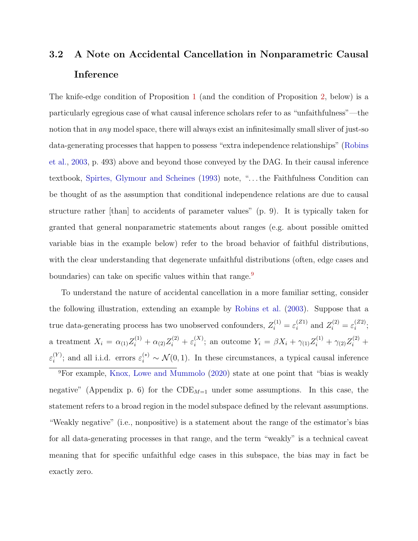## <span id="page-19-0"></span>3.2 A Note on Accidental Cancellation in Nonparametric Causal Inference

The knife-edge condition of Proposition [1](#page-13-0) (and the condition of Proposition [2,](#page-22-0) below) is a particularly egregious case of what causal inference scholars refer to as "unfaithfulness"—the notion that in *any* model space, there will always exist an infinitesimally small sliver of just-so data-generating processes that happen to possess "extra independence relationships" [\(Robins](#page-29-5) [et al.,](#page-29-5) [2003,](#page-29-5) p. 493) above and beyond those conveyed by the DAG. In their causal inference textbook, [Spirtes, Glymour and Scheines](#page-29-6) [\(1993\)](#page-29-6) note, ". . . the Faithfulness Condition can be thought of as the assumption that conditional independence relations are due to causal structure rather [than] to accidents of parameter values" (p. 9). It is typically taken for granted that general nonparametric statements about ranges (e.g. about possible omitted variable bias in the example below) refer to the broad behavior of faithful distributions, with the clear understanding that degenerate unfaithful distributions (often, edge cases and boundaries) can take on specific values within that range.<sup>[9](#page-19-1)</sup>

To understand the nature of accidental cancellation in a more familiar setting, consider the following illustration, extending an example by [Robins et al.](#page-29-5) [\(2003\)](#page-29-5). Suppose that a true data-generating process has two unobserved confounders,  $Z_i^{(1)} = \varepsilon_i^{(Z1)}$  $i^{(Z1)}$  and  $Z_i^{(2)} = \varepsilon_i^{(Z2)}$  $\binom{22}{i}$ a treatment  $X_i = \alpha_{(1)}Z_i^{(1)} + \alpha_{(2)}Z_i^{(2)} + \varepsilon_i^{(X)}$  $i^{(X)}$ ; an outcome  $Y_i = \beta X_i + \gamma_{(1)} Z_i^{(1)} + \gamma_{(2)} Z_i^{(2)} +$  $\varepsilon_i^{(Y)}$  $i_i^{(Y)}$ ; and all i.i.d. errors  $\varepsilon_i^{(*)} \sim \mathcal{N}(0, 1)$ . In these circumstances, a typical causal inference

<span id="page-19-1"></span> $9$ For example, [Knox, Lowe and Mummolo](#page-28-0) [\(2020\)](#page-28-0) state at one point that "bias is weakly negative" (Appendix p. 6) for the  $CDE_{M=1}$  under some assumptions. In this case, the statement refers to a broad region in the model subspace defined by the relevant assumptions. "Weakly negative" (i.e., nonpositive) is a statement about the range of the estimator's bias for all data-generating processes in that range, and the term "weakly" is a technical caveat meaning that for specific unfaithful edge cases in this subspace, the bias may in fact be exactly zero.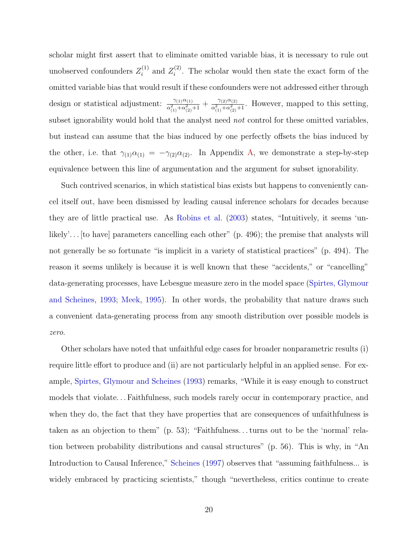scholar might first assert that to eliminate omitted variable bias, it is necessary to rule out unobserved confounders  $Z_i^{(1)}$  $z_i^{(1)}$  and  $Z_i^{(2)}$  $i^{(2)}$ . The scholar would then state the exact form of the omitted variable bias that would result if these confounders were not addressed either through design or statistical adjustment:  $\frac{\gamma_{(1)}\alpha_{(1)}}{\alpha_{(1)}^2+\alpha_{(2)}^2+1} + \frac{\gamma_{(2)}\alpha_{(2)}}{\alpha_{(1)}^2+\alpha_{(2)}^2}$  $\frac{\gamma_{(2)}\alpha_{(2)}}{\alpha_{(1)}^2+\alpha_{(2)}^2+1}$ . However, mapped to this setting, subset ignorability would hold that the analyst need not control for these omitted variables, but instead can assume that the bias induced by one perfectly offsets the bias induced by the other, i.e. that  $\gamma_{(1)}\alpha_{(1)} = -\gamma_{(2)}\alpha_{(2)}$ . In Appendix [A,](#page-32-0) we demonstrate a step-by-step equivalence between this line of argumentation and the argument for subset ignorability.

Such contrived scenarios, in which statistical bias exists but happens to conveniently cancel itself out, have been dismissed by leading causal inference scholars for decades because they are of little practical use. As [Robins et al.](#page-29-5) [\(2003\)](#page-29-5) states, "Intuitively, it seems 'unlikely'... [to have] parameters cancelling each other" (p. 496); the premise that analysts will not generally be so fortunate "is implicit in a variety of statistical practices" (p. 494). The reason it seems unlikely is because it is well known that these "accidents," or "cancelling" data-generating processes, have Lebesgue measure zero in the model space [\(Spirtes, Glymour](#page-29-6) [and Scheines,](#page-29-6) [1993;](#page-29-6) [Meek,](#page-28-6) [1995\)](#page-28-6). In other words, the probability that nature draws such a convenient data-generating process from any smooth distribution over possible models is zero.

Other scholars have noted that unfaithful edge cases for broader nonparametric results (i) require little effort to produce and (ii) are not particularly helpful in an applied sense. For example, [Spirtes, Glymour and Scheines](#page-29-6) [\(1993\)](#page-29-6) remarks, "While it is easy enough to construct models that violate. . . Faithfulness, such models rarely occur in contemporary practice, and when they do, the fact that they have properties that are consequences of unfaithfulness is taken as an objection to them" (p. 53); "Faithfulness. . . turns out to be the 'normal' relation between probability distributions and causal structures" (p. 56). This is why, in "An Introduction to Causal Inference," [Scheines](#page-29-9) [\(1997\)](#page-29-9) observes that "assuming faithfulness... is widely embraced by practicing scientists," though "nevertheless, critics continue to create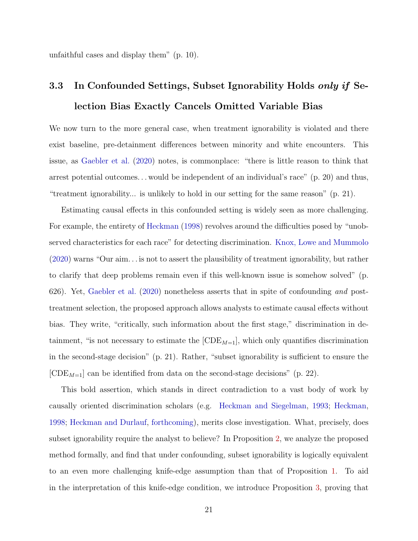unfaithful cases and display them" (p. 10).

## 3.3 In Confounded Settings, Subset Ignorability Holds only if Selection Bias Exactly Cancels Omitted Variable Bias

We now turn to the more general case, when treatment ignorability is violated and there exist baseline, pre-detainment differences between minority and white encounters. This issue, as [Gaebler et al.](#page-27-3) [\(2020\)](#page-27-3) notes, is commonplace: "there is little reason to think that arrest potential outcomes. . . would be independent of an individual's race" (p. 20) and thus, "treatment ignorability... is unlikely to hold in our setting for the same reason" (p. 21).

Estimating causal effects in this confounded setting is widely seen as more challenging. For example, the entirety of [Heckman](#page-27-5) [\(1998\)](#page-27-5) revolves around the difficulties posed by "unobserved characteristics for each race" for detecting discrimination. [Knox, Lowe and Mummolo](#page-28-0) [\(2020\)](#page-28-0) warns "Our aim. . . is not to assert the plausibility of treatment ignorability, but rather to clarify that deep problems remain even if this well-known issue is somehow solved" (p. 626). Yet, [Gaebler et al.](#page-27-3) [\(2020\)](#page-27-3) nonetheless asserts that in spite of confounding and posttreatment selection, the proposed approach allows analysts to estimate causal effects without bias. They write, "critically, such information about the first stage," discrimination in detainment, "is not necessary to estimate the  $[CDE_{M=1}]$ , which only quantifies discrimination in the second-stage decision" (p. 21). Rather, "subset ignorability is sufficient to ensure the  $[CDE_{M=1}]$  can be identified from data on the second-stage decisions" (p. 22).

This bold assertion, which stands in direct contradiction to a vast body of work by causally oriented discrimination scholars (e.g. [Heckman and Siegelman,](#page-27-4) [1993;](#page-27-4) [Heckman,](#page-27-5) [1998;](#page-27-5) [Heckman and Durlauf,](#page-28-1) [forthcoming\)](#page-28-1), merits close investigation. What, precisely, does subset ignorability require the analyst to believe? In Proposition [2,](#page-22-0) we analyze the proposed method formally, and find that under confounding, subset ignorability is logically equivalent to an even more challenging knife-edge assumption than that of Proposition [1.](#page-13-0) To aid in the interpretation of this knife-edge condition, we introduce Proposition [3,](#page-23-0) proving that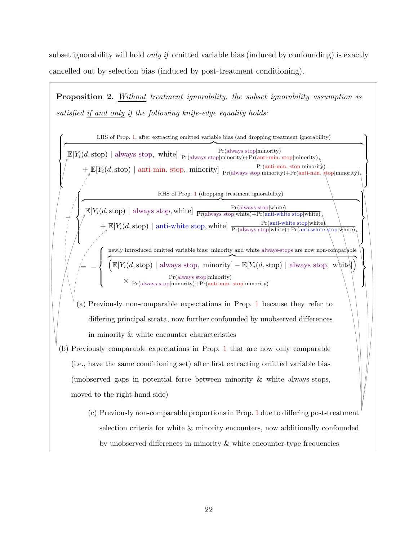subset ignorability will hold *only if* omitted variable bias (induced by confounding) is exactly cancelled out by selection bias (induced by post-treatment conditioning).

<span id="page-22-0"></span>**Proposition 2.** Without treatment ignorability, the subset ignorability assumption is satisfied if and only if the following knife-edge equality holds:

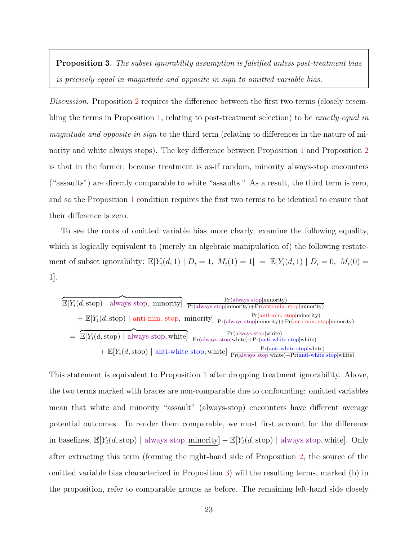<span id="page-23-0"></span>**Proposition 3.** The subset ignorability assumption is falsified unless post-treatment bias is precisely equal in magnitude and opposite in sign to omitted variable bias.

Discussion. Proposition [2](#page-22-0) requires the difference between the first two terms (closely resem-bling the terms in Proposition [1,](#page-13-0) relating to post-treatment selection) to be exactly equal in magnitude and opposite in sign to the third term (relating to differences in the nature of minority and white always stops). The key difference between Proposition [1](#page-13-0) and Proposition [2](#page-22-0) is that in the former, because treatment is as-if random, minority always-stop encounters ("assaults") are directly comparable to white "assaults." As a result, the third term is zero, and so the Proposition [1](#page-13-0) condition requires the first two terms to be identical to ensure that their difference is zero.

To see the roots of omitted variable bias more clearly, examine the following equality, which is logically equivalent to (merely an algebraic manipulation of) the following restatement of subset ignorability:  $\mathbb{E}[Y_i(d, 1) | D_i = 1, M_i(1) = 1] = \mathbb{E}[Y_i(d, 1) | D_i = 0, M_i(0) =$ 1].

| Pr(always stop minority)<br>$\mathbb{E}[Y_i(d,\text{stop})   \text{always stop}, \text{minority}].$<br>$\overline{Pr(always stop minority)} + Pr(anti-min. stop minority)}$                                                                                                                        |
|----------------------------------------------------------------------------------------------------------------------------------------------------------------------------------------------------------------------------------------------------------------------------------------------------|
| $+ \mathbb{E}[Y_i(d,\text{stop}) \mid \text{anti-min. stop, minority}] \frac{\Gamma\left(\text{uniform. stop-}{\text{prod}(\text{away stop} \text{minority})} + \Pr(\text{anti-min. stop} \text{minority})}{\Pr(\text{always stop} \text{minority}) + \Pr(\text{anti-min. stop} \text{minority})}$ |
| Pr(always stop white)<br>$= \mathbb{E}[Y_i(d,\text{stop})   \text{always stop}, \text{white}]$<br>$Pr(\text{always stop} white) + Pr(\text{anti-white stop} white)$                                                                                                                                |
| $Pr(anti-white stop white)$<br>$+ \mathbb{E}[Y_i(d,\text{stop}) \mid \text{anti-white stop}, \text{white} \frac{1}{\Pr(\text{always stop} \text{white})+\Pr(\text{anti-white stop} \text{white stop})}$                                                                                            |

This statement is equivalent to Proposition [1](#page-13-0) after dropping treatment ignorability. Above, the two terms marked with braces are non-comparable due to confounding: omitted variables mean that white and minority "assault" (always-stop) encounters have different average potential outcomes. To render them comparable, we must first account for the difference in baselines,  $\mathbb{E}[Y_i(d,\text{stop})]$  always stop, minority] –  $\mathbb{E}[Y_i(d,\text{stop})]$  always stop, white. after extracting this term (forming the right-hand side of Proposition [2,](#page-22-0) the source of the omitted variable bias characterized in Proposition [3\)](#page-23-0) will the resulting terms, marked (b) in the proposition, refer to comparable groups as before. The remaining left-hand side closely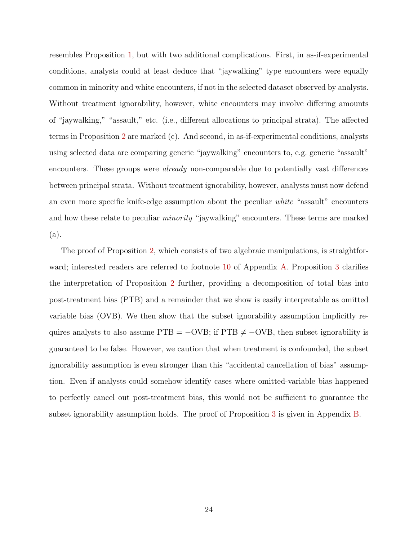resembles Proposition [1,](#page-13-0) but with two additional complications. First, in as-if-experimental conditions, analysts could at least deduce that "jaywalking" type encounters were equally common in minority and white encounters, if not in the selected dataset observed by analysts. Without treatment ignorability, however, white encounters may involve differing amounts of "jaywalking," "assault," etc. (i.e., different allocations to principal strata). The affected terms in Proposition [2](#page-22-0) are marked (c). And second, in as-if-experimental conditions, analysts using selected data are comparing generic "jaywalking" encounters to, e.g. generic "assault" encounters. These groups were *already* non-comparable due to potentially vast differences between principal strata. Without treatment ignorability, however, analysts must now defend an even more specific knife-edge assumption about the peculiar white "assault" encounters and how these relate to peculiar minority "jaywalking" encounters. These terms are marked (a).

The proof of Proposition [2,](#page-22-0) which consists of two algebraic manipulations, is straightforward; interested readers are referred to footnote [10](#page-34-0) of Appendix [A.](#page-32-0) Proposition [3](#page-23-0) clarifies the interpretation of Proposition [2](#page-22-0) further, providing a decomposition of total bias into post-treatment bias (PTB) and a remainder that we show is easily interpretable as omitted variable bias (OVB). We then show that the subset ignorability assumption implicitly requires analysts to also assume  $PTB = -OVB$ ; if  $PTB \neq -OVB$ , then subset ignorability is guaranteed to be false. However, we caution that when treatment is confounded, the subset ignorability assumption is even stronger than this "accidental cancellation of bias" assumption. Even if analysts could somehow identify cases where omitted-variable bias happened to perfectly cancel out post-treatment bias, this would not be sufficient to guarantee the subset ignorability assumption holds. The proof of Proposition [3](#page-23-0) is given in Appendix [B.](#page-35-0)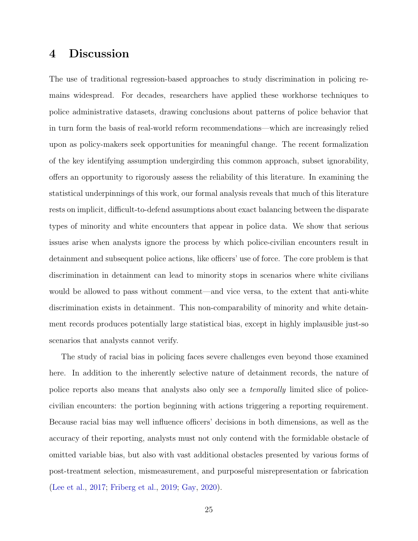### 4 Discussion

The use of traditional regression-based approaches to study discrimination in policing remains widespread. For decades, researchers have applied these workhorse techniques to police administrative datasets, drawing conclusions about patterns of police behavior that in turn form the basis of real-world reform recommendations—which are increasingly relied upon as policy-makers seek opportunities for meaningful change. The recent formalization of the key identifying assumption undergirding this common approach, subset ignorability, offers an opportunity to rigorously assess the reliability of this literature. In examining the statistical underpinnings of this work, our formal analysis reveals that much of this literature rests on implicit, difficult-to-defend assumptions about exact balancing between the disparate types of minority and white encounters that appear in police data. We show that serious issues arise when analysts ignore the process by which police-civilian encounters result in detainment and subsequent police actions, like officers' use of force. The core problem is that discrimination in detainment can lead to minority stops in scenarios where white civilians would be allowed to pass without comment—and vice versa, to the extent that anti-white discrimination exists in detainment. This non-comparability of minority and white detainment records produces potentially large statistical bias, except in highly implausible just-so scenarios that analysts cannot verify.

The study of racial bias in policing faces severe challenges even beyond those examined here. In addition to the inherently selective nature of detainment records, the nature of police reports also means that analysts also only see a temporally limited slice of policecivilian encounters: the portion beginning with actions triggering a reporting requirement. Because racial bias may well influence officers' decisions in both dimensions, as well as the accuracy of their reporting, analysts must not only contend with the formidable obstacle of omitted variable bias, but also with vast additional obstacles presented by various forms of post-treatment selection, mismeasurement, and purposeful misrepresentation or fabrication [\(Lee et al.,](#page-28-7) [2017;](#page-28-7) [Friberg et al.,](#page-27-7) [2019;](#page-27-7) [Gay,](#page-27-8) [2020\)](#page-27-8).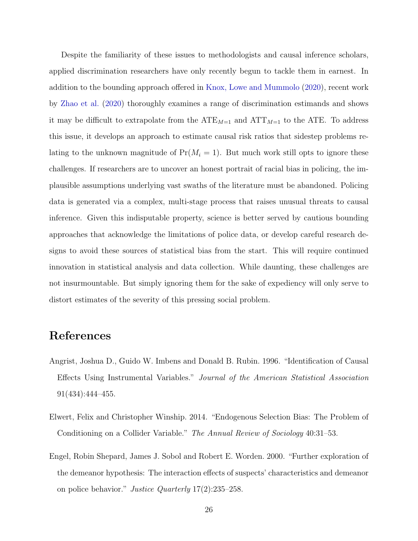Despite the familiarity of these issues to methodologists and causal inference scholars, applied discrimination researchers have only recently begun to tackle them in earnest. In addition to the bounding approach offered in [Knox, Lowe and Mummolo](#page-28-0) [\(2020\)](#page-28-0), recent work by [Zhao et al.](#page-30-1) [\(2020\)](#page-30-1) thoroughly examines a range of discrimination estimands and shows it may be difficult to extrapolate from the  $\text{ATE}_{M=1}$  and  $\text{ATT}_{M=1}$  to the ATE. To address this issue, it develops an approach to estimate causal risk ratios that sidestep problems relating to the unknown magnitude of  $Pr(M_i = 1)$ . But much work still opts to ignore these challenges. If researchers are to uncover an honest portrait of racial bias in policing, the implausible assumptions underlying vast swaths of the literature must be abandoned. Policing data is generated via a complex, multi-stage process that raises unusual threats to causal inference. Given this indisputable property, science is better served by cautious bounding approaches that acknowledge the limitations of police data, or develop careful research designs to avoid these sources of statistical bias from the start. This will require continued innovation in statistical analysis and data collection. While daunting, these challenges are not insurmountable. But simply ignoring them for the sake of expediency will only serve to distort estimates of the severity of this pressing social problem.

## References

- <span id="page-26-2"></span>Angrist, Joshua D., Guido W. Imbens and Donald B. Rubin. 1996. "Identification of Causal Effects Using Instrumental Variables." Journal of the American Statistical Association 91(434):444–455.
- <span id="page-26-0"></span>Elwert, Felix and Christopher Winship. 2014. "Endogenous Selection Bias: The Problem of Conditioning on a Collider Variable." The Annual Review of Sociology 40:31–53.
- <span id="page-26-1"></span>Engel, Robin Shepard, James J. Sobol and Robert E. Worden. 2000. "Further exploration of the demeanor hypothesis: The interaction effects of suspects' characteristics and demeanor on police behavior." Justice Quarterly 17(2):235–258.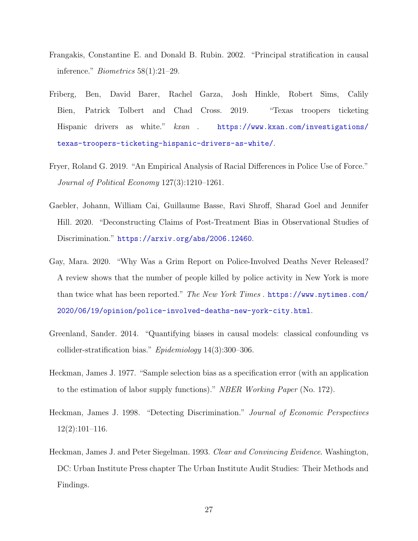- <span id="page-27-6"></span>Frangakis, Constantine E. and Donald B. Rubin. 2002. "Principal stratification in causal inference." Biometrics 58(1):21–29.
- <span id="page-27-7"></span>Friberg, Ben, David Barer, Rachel Garza, Josh Hinkle, Robert Sims, Calily Bien, Patrick Tolbert and Chad Cross. 2019. "Texas troopers ticketing Hispanic drivers as white."  $kxan$ . [https://www.kxan.com/investigations/](https://www.kxan.com/investigations/texas-troopers-ticketing-hispanic-drivers-as-white/) [texas-troopers-ticketing-hispanic-drivers-as-white/](https://www.kxan.com/investigations/texas-troopers-ticketing-hispanic-drivers-as-white/).
- <span id="page-27-2"></span>Fryer, Roland G. 2019. "An Empirical Analysis of Racial Differences in Police Use of Force." Journal of Political Economy 127(3):1210–1261.
- <span id="page-27-3"></span>Gaebler, Johann, William Cai, Guillaume Basse, Ravi Shroff, Sharad Goel and Jennifer Hill. 2020. "Deconstructing Claims of Post-Treatment Bias in Observational Studies of Discrimination." <https://arxiv.org/abs/2006.12460>.
- <span id="page-27-8"></span>Gay, Mara. 2020. "Why Was a Grim Report on Police-Involved Deaths Never Released? A review shows that the number of people killed by police activity in New York is more than twice what has been reported." The New York Times . [https://www.nytimes.com/](https://www.nytimes.com/2020/06/19/opinion/police-involved-deaths-new-york-city.html) [2020/06/19/opinion/police-involved-deaths-new-york-city.html](https://www.nytimes.com/2020/06/19/opinion/police-involved-deaths-new-york-city.html).
- <span id="page-27-1"></span>Greenland, Sander. 2014. "Quantifying biases in causal models: classical confounding vs collider-stratification bias." Epidemiology 14(3):300–306.
- <span id="page-27-0"></span>Heckman, James J. 1977. "Sample selection bias as a specification error (with an application to the estimation of labor supply functions)." NBER Working Paper (No. 172).
- <span id="page-27-5"></span>Heckman, James J. 1998. "Detecting Discrimination." Journal of Economic Perspectives  $12(2):101-116.$
- <span id="page-27-4"></span>Heckman, James J. and Peter Siegelman. 1993. *Clear and Convincing Evidence*. Washington, DC: Urban Institute Press chapter The Urban Institute Audit Studies: Their Methods and Findings.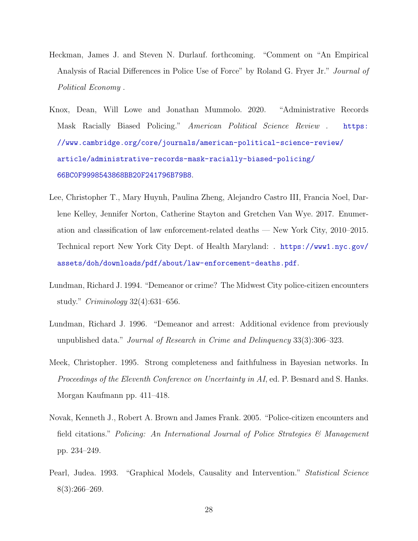- <span id="page-28-1"></span>Heckman, James J. and Steven N. Durlauf. forthcoming. "Comment on "An Empirical Analysis of Racial Differences in Police Use of Force" by Roland G. Fryer Jr." Journal of Political Economy .
- <span id="page-28-0"></span>Knox, Dean, Will Lowe and Jonathan Mummolo. 2020. "Administrative Records Mask Racially Biased Policing." American Political Science Review . [https:](https://www.cambridge.org/core/journals/american-political-science-review/article/administrative-records-mask-racially-biased-policing/66BC0F9998543868BB20F241796B79B8) [//www.cambridge.org/core/journals/american-political-science-review/](https://www.cambridge.org/core/journals/american-political-science-review/article/administrative-records-mask-racially-biased-policing/66BC0F9998543868BB20F241796B79B8) [article/administrative-records-mask-racially-biased-policing/](https://www.cambridge.org/core/journals/american-political-science-review/article/administrative-records-mask-racially-biased-policing/66BC0F9998543868BB20F241796B79B8) [66BC0F9998543868BB20F241796B79B8](https://www.cambridge.org/core/journals/american-political-science-review/article/administrative-records-mask-racially-biased-policing/66BC0F9998543868BB20F241796B79B8).
- <span id="page-28-7"></span>Lee, Christopher T., Mary Huynh, Paulina Zheng, Alejandro Castro III, Francia Noel, Darlene Kelley, Jennifer Norton, Catherine Stayton and Gretchen Van Wye. 2017. Enumeration and classification of law enforcement-related deaths — New York City, 2010–2015. Technical report New York City Dept. of Health Maryland: . [https://www1.nyc.gov/](https://www1.nyc.gov/assets/doh/downloads/pdf/about/law-enforcement-deaths.pdf) [assets/doh/downloads/pdf/about/law-enforcement-deaths.pdf](https://www1.nyc.gov/assets/doh/downloads/pdf/about/law-enforcement-deaths.pdf).
- <span id="page-28-2"></span>Lundman, Richard J. 1994. "Demeanor or crime? The Midwest City police-citizen encounters study." Criminology 32(4):631–656.
- <span id="page-28-3"></span>Lundman, Richard J. 1996. "Demeanor and arrest: Additional evidence from previously unpublished data." Journal of Research in Crime and Delinquency 33(3):306–323.
- <span id="page-28-6"></span>Meek, Christopher. 1995. Strong completeness and faithfulness in Bayesian networks. In Proceedings of the Eleventh Conference on Uncertainty in AI, ed. P. Besnard and S. Hanks. Morgan Kaufmann pp. 411–418.
- <span id="page-28-4"></span>Novak, Kenneth J., Robert A. Brown and James Frank. 2005. "Police-citizen encounters and field citations." Policing: An International Journal of Police Strategies  $\mathcal{B}$  Management pp. 234–249.
- <span id="page-28-5"></span>Pearl, Judea. 1993. "Graphical Models, Causality and Intervention." Statistical Science 8(3):266–269.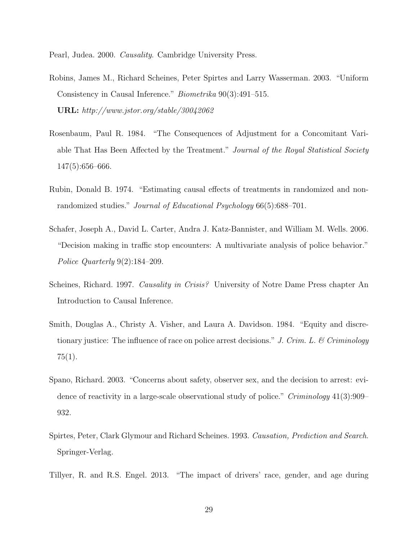<span id="page-29-7"></span>Pearl, Judea. 2000. Causality. Cambridge University Press.

- <span id="page-29-5"></span>Robins, James M., Richard Scheines, Peter Spirtes and Larry Wasserman. 2003. "Uniform Consistency in Causal Inference." Biometrika 90(3):491–515. URL: http://www.jstor.org/stable/30042062
- <span id="page-29-0"></span>Rosenbaum, Paul R. 1984. "The Consequences of Adjustment for a Concomitant Variable That Has Been Affected by the Treatment." Journal of the Royal Statistical Society 147(5):656–666.
- <span id="page-29-8"></span>Rubin, Donald B. 1974. "Estimating causal effects of treatments in randomized and nonrandomized studies." *Journal of Educational Psychology* 66(5):688–701.
- <span id="page-29-3"></span>Schafer, Joseph A., David L. Carter, Andra J. Katz-Bannister, and William M. Wells. 2006. "Decision making in traffic stop encounters: A multivariate analysis of police behavior." Police Quarterly 9(2):184–209.
- <span id="page-29-9"></span>Scheines, Richard. 1997. Causality in Crisis? University of Notre Dame Press chapter An Introduction to Causal Inference.
- <span id="page-29-1"></span>Smith, Douglas A., Christy A. Visher, and Laura A. Davidson. 1984. "Equity and discretionary justice: The influence of race on police arrest decisions." J. Crim. L. & Criminology 75(1).
- <span id="page-29-2"></span>Spano, Richard. 2003. "Concerns about safety, observer sex, and the decision to arrest: evidence of reactivity in a large-scale observational study of police." Criminology 41(3):909– 932.
- <span id="page-29-6"></span>Spirtes, Peter, Clark Glymour and Richard Scheines. 1993. Causation, Prediction and Search. Springer-Verlag.
- <span id="page-29-4"></span>Tillyer, R. and R.S. Engel. 2013. "The impact of drivers' race, gender, and age during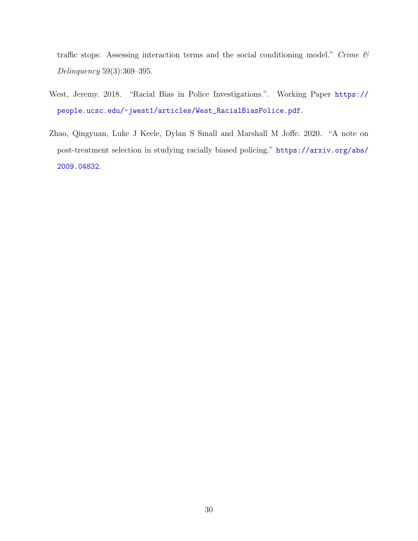traffic stops: Assessing interaction terms and the social conditioning model." Crime  $\mathcal C$ Delinquency 59(3):369–395.

- <span id="page-30-0"></span>West, Jeremy. 2018. "Racial Bias in Police Investigations.". Working Paper [https://](https://people.ucsc.edu/~jwest1/articles/West_RacialBiasPolice.pdf) [people.ucsc.edu/~jwest1/articles/West\\_RacialBiasPolice.pdf](https://people.ucsc.edu/~jwest1/articles/West_RacialBiasPolice.pdf).
- <span id="page-30-1"></span>Zhao, Qingyuan, Luke J Keele, Dylan S Small and Marshall M Joffe. 2020. "A note on post-treatment selection in studying racially biased policing." [https://arxiv.org/abs/](https://arxiv.org/abs/2009.04832) [2009.04832](https://arxiv.org/abs/2009.04832).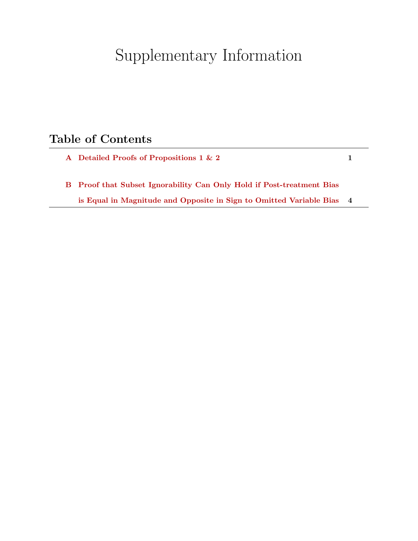# Supplementary Information

## Table of Contents

[A Detailed Proofs of Propositions 1 & 2](#page-32-0) 1 [B Proof that Subset Ignorability Can Only Hold if Post-treatment Bias](#page-35-0) [is Equal in Magnitude and Opposite in Sign to Omitted Variable Bias](#page-35-0) 4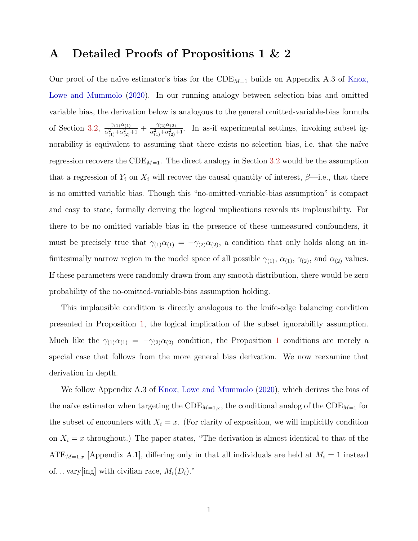#### <span id="page-32-0"></span>A Detailed Proofs of Propositions 1 & 2

Our proof of the naïve estimator's bias for the  $CDE_{M=1}$  builds on Appendix A.3 of [Knox,](#page-28-0) [Lowe and Mummolo](#page-28-0) [\(2020\)](#page-28-0). In our running analogy between selection bias and omitted variable bias, the derivation below is analogous to the general omitted-variable-bias formula of Section [3.2,](#page-19-0)  $\frac{\gamma_{(1)}\alpha_{(1)}}{2\alpha^2+\alpha^2}$  $\frac{\gamma_{(1)}\alpha_{(1)}}{\alpha_{(1)}^2+\alpha_{(2)}^2+1}+\frac{\gamma_{(2)}\alpha_{(2)}}{\alpha_{(1)}^2+\alpha_{(2)}^2}$  $\frac{\gamma_{(2)}\alpha_{(2)}}{\alpha_{(1)}^2+\alpha_{(2)}^2+1}$ . In as-if experimental settings, invoking subset ignorability is equivalent to assuming that there exists no selection bias, i.e. that the naïve regression recovers the  $CDE_{M=1}$ . The direct analogy in Section [3.2](#page-19-0) would be the assumption that a regression of  $Y_i$  on  $X_i$  will recover the causal quantity of interest,  $\beta$ —i.e., that there is no omitted variable bias. Though this "no-omitted-variable-bias assumption" is compact and easy to state, formally deriving the logical implications reveals its implausibility. For there to be no omitted variable bias in the presence of these unmeasured confounders, it must be precisely true that  $\gamma_{(1)}\alpha_{(1)} = -\gamma_{(2)}\alpha_{(2)}$ , a condition that only holds along an infinitesimally narrow region in the model space of all possible  $\gamma_{(1)}$ ,  $\alpha_{(1)}$ ,  $\gamma_{(2)}$ , and  $\alpha_{(2)}$  values. If these parameters were randomly drawn from any smooth distribution, there would be zero probability of the no-omitted-variable-bias assumption holding.

This implausible condition is directly analogous to the knife-edge balancing condition presented in Proposition [1,](#page-13-0) the logical implication of the subset ignorability assumption. Much like the  $\gamma_{(1)}\alpha_{(1)} = -\gamma_{(2)}\alpha_{(2)}$  $\gamma_{(1)}\alpha_{(1)} = -\gamma_{(2)}\alpha_{(2)}$  $\gamma_{(1)}\alpha_{(1)} = -\gamma_{(2)}\alpha_{(2)}$  condition, the Proposition 1 conditions are merely a special case that follows from the more general bias derivation. We now reexamine that derivation in depth.

We follow Appendix A.3 of [Knox, Lowe and Mummolo](#page-28-0) [\(2020\)](#page-28-0), which derives the bias of the naïve estimator when targeting the  $CDE_{M=1,x}$ , the conditional analog of the  $CDE_{M=1}$  for the subset of encounters with  $X_i = x$ . (For clarity of exposition, we will implicitly condition on  $X_i = x$  throughout.) The paper states, "The derivation is almost identical to that of the  $ATE_{M=1,x}$  [Appendix A.1], differing only in that all individuals are held at  $M_i = 1$  instead of... vary [ing] with civilian race,  $M_i(D_i)$ ."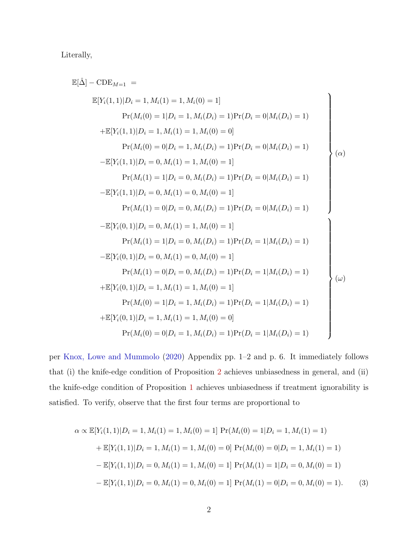Literally,

$$
\mathbb{E}[\hat{\Delta}] - \text{CDE}_{M=1} =
$$
\n
$$
\mathbb{E}[Y_i(1,1)|D_i = 1, M_i(1) = 1, M_i(0) = 1]
$$
\n
$$
\Pr(M_i(0) = 1|D_i = 1, M_i(D_i) = 1)\Pr(D_i = 0|M_i(D_i) = 1)
$$
\n
$$
+ \mathbb{E}[Y_i(1,1)|D_i = 1, M_i(1) = 1, M_i(0) = 0]
$$
\n
$$
\Pr(M_i(0) = 0|D_i = 1, M_i(D_i) = 1)\Pr(D_i = 0|M_i(D_i) = 1)
$$
\n
$$
- \mathbb{E}[Y_i(1,1)|D_i = 0, M_i(1) = 1, M_i(0) = 1]
$$
\n
$$
\Pr(M_i(1) = 1|D_i = 0, M_i(D_i) = 1)\Pr(D_i = 0|M_i(D_i) = 1)
$$
\n
$$
- \mathbb{E}[Y_i(1,1)|D_i = 0, M_i(1) = 0, M_i(0) = 1]
$$
\n
$$
\Pr(M_i(1) = 0|D_i = 0, M_i(D_i) = 1)\Pr(D_i = 0|M_i(D_i) = 1)
$$
\n
$$
- \mathbb{E}[Y_i(0,1)|D_i = 0, M_i(1) = 1, M_i(0) = 1]
$$
\n
$$
\Pr(M_i(1) = 1|D_i = 0, M_i(D_i) = 1)\Pr(D_i = 1|M_i(D_i) = 1)
$$
\n
$$
- \mathbb{E}[Y_i(0,1)|D_i = 0, M_i(1) = 0, M_i(0) = 1]
$$
\n
$$
\Pr(M_i(1) = 0|D_i = 0, M_i(D_i) = 1)\Pr(D_i = 1|M_i(D_i) = 1)
$$
\n
$$
+ \mathbb{E}[Y_i(0,1)|D_i = 1, M_i(1) = 1, M_i(0) = 1]
$$
\n
$$
\Pr(M_i(0) = 1|D_i = 1, M_i(D_i) = 1)\Pr(D_i = 1|M_i(D_i) = 1)
$$
\n
$$
+ \mathbb{E}[Y_i(0,1)|D_i = 1, M_i(1) = 1, M_i(D_i) = 1)\Pr(D_i = 1|M_i(D_i) = 1)
$$

per [Knox, Lowe and Mummolo](#page-28-0) [\(2020\)](#page-28-0) Appendix pp. 1–2 and p. 6. It immediately follows that (i) the knife-edge condition of Proposition [2](#page-22-0) achieves unbiasedness in general, and (ii) the knife-edge condition of Proposition [1](#page-13-0) achieves unbiasedness if treatment ignorability is satisfied. To verify, observe that the first four terms are proportional to

$$
\alpha \propto \mathbb{E}[Y_i(1,1)|D_i = 1, M_i(1) = 1, M_i(0) = 1] \Pr(M_i(0) = 1|D_i = 1, M_i(1) = 1)
$$
  
+ 
$$
\mathbb{E}[Y_i(1,1)|D_i = 1, M_i(1) = 1, M_i(0) = 0] \Pr(M_i(0) = 0|D_i = 1, M_i(1) = 1)
$$
  
- 
$$
\mathbb{E}[Y_i(1,1)|D_i = 0, M_i(1) = 1, M_i(0) = 1] \Pr(M_i(1) = 1|D_i = 0, M_i(0) = 1)
$$
  
- 
$$
\mathbb{E}[Y_i(1,1)|D_i = 0, M_i(1) = 0, M_i(0) = 1] \Pr(M_i(1) = 0|D_i = 0, M_i(0) = 1).
$$
 (3)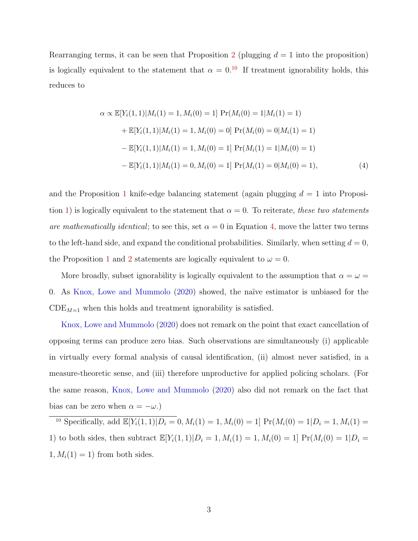Rearranging terms, it can be seen that Proposition [2](#page-22-0) (plugging  $d = 1$  into the proposition) is logically equivalent to the statement that  $\alpha = 0.10$  $\alpha = 0.10$  If treatment ignorability holds, this reduces to

<span id="page-34-1"></span>
$$
\alpha \propto \mathbb{E}[Y_i(1,1)|M_i(1) = 1, M_i(0) = 1] \Pr(M_i(0) = 1|M_i(1) = 1)
$$
  
+ 
$$
\mathbb{E}[Y_i(1,1)|M_i(1) = 1, M_i(0) = 0] \Pr(M_i(0) = 0|M_i(1) = 1)
$$
  
- 
$$
\mathbb{E}[Y_i(1,1)|M_i(1) = 1, M_i(0) = 1] \Pr(M_i(1) = 1|M_i(0) = 1)
$$
  
- 
$$
\mathbb{E}[Y_i(1,1)|M_i(1) = 0, M_i(0) = 1] \Pr(M_i(1) = 0|M_i(0) = 1),
$$
 (4)

and the Proposition [1](#page-13-0) knife-edge balancing statement (again plugging  $d = 1$  into Proposi-tion [1\)](#page-13-0) is logically equivalent to the statement that  $\alpha = 0$ . To reiterate, these two statements are mathematically identical; to see this, set  $\alpha = 0$  in Equation [4,](#page-34-1) move the latter two terms to the left-hand side, and expand the conditional probabilities. Similarly, when setting  $d = 0$ , the Proposition [1](#page-13-0) and [2](#page-22-0) statements are logically equivalent to  $\omega = 0$ .

More broadly, subset ignorability is logically equivalent to the assumption that  $\alpha = \omega =$ 0. As [Knox, Lowe and Mummolo](#page-28-0) [\(2020\)](#page-28-0) showed, the na¨ıve estimator is unbiased for the  $CDE_{M=1}$  when this holds and treatment ignorability is satisfied.

[Knox, Lowe and Mummolo](#page-28-0) [\(2020\)](#page-28-0) does not remark on the point that exact cancellation of opposing terms can produce zero bias. Such observations are simultaneously (i) applicable in virtually every formal analysis of causal identification, (ii) almost never satisfied, in a measure-theoretic sense, and (iii) therefore unproductive for applied policing scholars. (For the same reason, [Knox, Lowe and Mummolo](#page-28-0) [\(2020\)](#page-28-0) also did not remark on the fact that bias can be zero when  $\alpha = -\omega$ .)

<span id="page-34-0"></span><sup>10</sup> Specifically, add  $\mathbb{E}[Y_i(1,1)|D_i = 0, M_i(1) = 1, M_i(0) = 1]$   $\Pr(M_i(0) = 1|D_i = 1, M_i(1) =$ 1) to both sides, then subtract  $\mathbb{E}[Y_i(1,1)|D_i = 1, M_i(1) = 1, M_i(0) = 1] \Pr(M_i(0) = 1|D_i = 1)$  $1, M_i(1) = 1$  from both sides.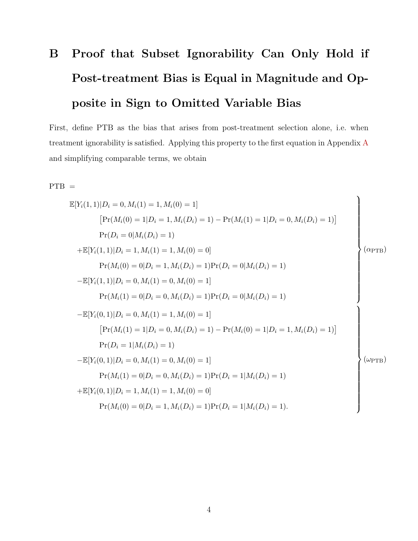# <span id="page-35-0"></span>B Proof that Subset Ignorability Can Only Hold if Post-treatment Bias is Equal in Magnitude and Opposite in Sign to Omitted Variable Bias

First, define PTB as the bias that arises from post-treatment selection alone, i.e. when treatment ignorability is satisfied. Applying this property to the first equation in Appendix [A](#page-32-0) and simplifying comparable terms, we obtain

#### $PTB =$

$$
\mathbb{E}[Y_i(1,1)|D_i = 0, M_i(1) = 1, M_i(0) = 1]
$$
\n
$$
[Pr(M_i(0) = 1|D_i = 1, M_i(D_i) = 1) - Pr(M_i(1) = 1|D_i = 0, M_i(D_i) = 1)]
$$
\n
$$
Pr(D_i = 0|M_i(D_i) = 1)
$$
\n
$$
+ \mathbb{E}[Y_i(1,1)|D_i = 1, M_i(1) = 1, M_i(0) = 0]
$$
\n
$$
Pr(M_i(0) = 0|D_i = 1, M_i(D_i) = 1)Pr(D_i = 0|M_i(D_i) = 1)
$$
\n
$$
- \mathbb{E}[Y_i(1,1)|D_i = 0, M_i(1) = 0, M_i(0) = 1]
$$
\n
$$
Pr(M_i(1) = 0|D_i = 0, M_i(D_i) = 1)Pr(D_i = 0|M_i(D_i) = 1)
$$
\n
$$
- \mathbb{E}[Y_i(0,1)|D_i = 0, M_i(1) = 1, M_i(0) = 1]
$$
\n
$$
[Pr(M_i(1) = 1|D_i = 0, M_i(D_i) = 1) - Pr(M_i(0) = 1|D_i = 1, M_i(D_i) = 1)]
$$
\n
$$
Pr(D_i = 1|M_i(D_i) = 1)
$$
\n
$$
- \mathbb{E}[Y_i(0,1)|D_i = 0, M_i(1) = 0, M_i(0) = 1]
$$
\n
$$
Pr(M_i(1) = 0|D_i = 0, M_i(D_i) = 1)Pr(D_i = 1|M_i(D_i) = 1)
$$
\n
$$
+ \mathbb{E}[Y_i(0,1)|D_i = 1, M_i(1) = 1, M_i(0) = 0]
$$
\n
$$
Pr(M_i(0) = 0|D_i = 1, M_i(D_i) = 1)Pr(D_i = 1|M_i(D_i) = 1).
$$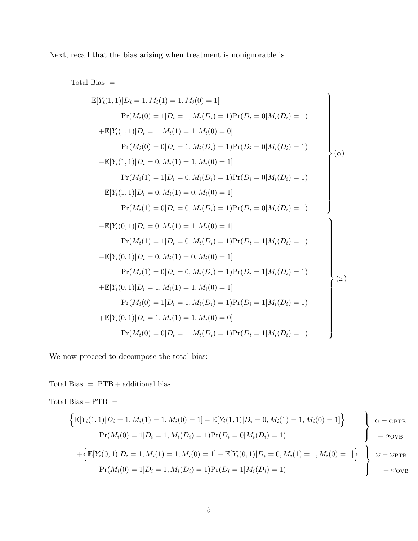Next, recall that the bias arising when treatment is nonignorable is

Total Bias =

$$
\mathbb{E}[Y_i(1,1)|D_i = 1, M_i(1) = 1, M_i(0) = 1]
$$
\n
$$
\Pr(M_i(0) = 1|D_i = 1, M_i(D_i) = 1)\Pr(D_i = 0|M_i(D_i) = 1)
$$
\n
$$
+\mathbb{E}[Y_i(1,1)|D_i = 1, M_i(1) = 1, M_i(0) = 0]
$$
\n
$$
\Pr(M_i(0) = 0|D_i = 1, M_i(D_i) = 1)\Pr(D_i = 0|M_i(D_i) = 1)
$$
\n
$$
-\mathbb{E}[Y_i(1,1)|D_i = 0, M_i(1) = 1, M_i(0) = 1]
$$
\n
$$
\Pr(M_i(1) = 1|D_i = 0, M_i(D_i) = 1)\Pr(D_i = 0|M_i(D_i) = 1)
$$
\n
$$
-\mathbb{E}[Y_i(1,1)|D_i = 0, M_i(1) = 0, M_i(0) = 1]
$$
\n
$$
\Pr(M_i(1) = 0|D_i = 0, M_i(D_i) = 1)\Pr(D_i = 0|M_i(D_i) = 1)
$$
\n
$$
-\mathbb{E}[Y_i(0,1)|D_i = 0, M_i(1) = 1, M_i(0) = 1]
$$
\n
$$
\Pr(M_i(1) = 1|D_i = 0, M_i(D_i) = 1)\Pr(D_i = 1|M_i(D_i) = 1)
$$
\n
$$
-\mathbb{E}[Y_i(0,1)|D_i = 0, M_i(1) = 0, M_i(0) = 1]
$$
\n
$$
\Pr(M_i(1) = 0|D_i = 0, M_i(D_i) = 1)\Pr(D_i = 1|M_i(D_i) = 1)
$$
\n
$$
+\mathbb{E}[Y_i(0,1)|D_i = 1, M_i(1) = 1, M_i(0) = 1]
$$
\n
$$
\Pr(M_i(0) = 1|D_i = 1, M_i(D_i) = 1)\Pr(D_i = 1|M_i(D_i) = 1)
$$
\n
$$
+\mathbb{E}[Y_i(0,1)|D_i = 1, M_i(1) = 1, M_i(D_i) = 1)\Pr(D_i = 1|M_i(D_i) = 1).
$$

We now proceed to decompose the total bias:

Total Bias  $=$  PTB  $+$  additional bias

Total Bias  $-$  PTB  $=$  $\left\{ \mathbb{E}[Y_i(1,1)|D_i=1, M_i(1)=1, M_i(0)=1] - \mathbb{E}[Y_i(1,1)|D_i=0, M_i(1)=1, M_i(0)=1] \right\}$  $Pr(M_i(0) = 1 | D_i = 1, M_i(D_i) = 1) Pr(D_i = 0 | M_i(D_i) = 1)$  $\mathcal{L}$  $\mathcal{L}$  $\int$  $\alpha - \alpha_{\text{PTB}}$  $=\alpha_{\text{OVB}}$  $+\left\{\mathbb{E}[Y_i(0,1)|D_i=1, M_i(1)=1, M_i(0)=1] - \mathbb{E}[Y_i(0,1)|D_i=0, M_i(1)=1, M_i(0)=1]\right\}$  $Pr(M_i(0) = 1 | D_i = 1, M_i(D_i) = 1) Pr(D_i = 1 | M_i(D_i) = 1)$  $\mathcal{L}$  $\overline{\mathcal{L}}$  $\int$  $\omega - \omega_{\text{PTB}}$  $=\omega_{\text{OVB}}$